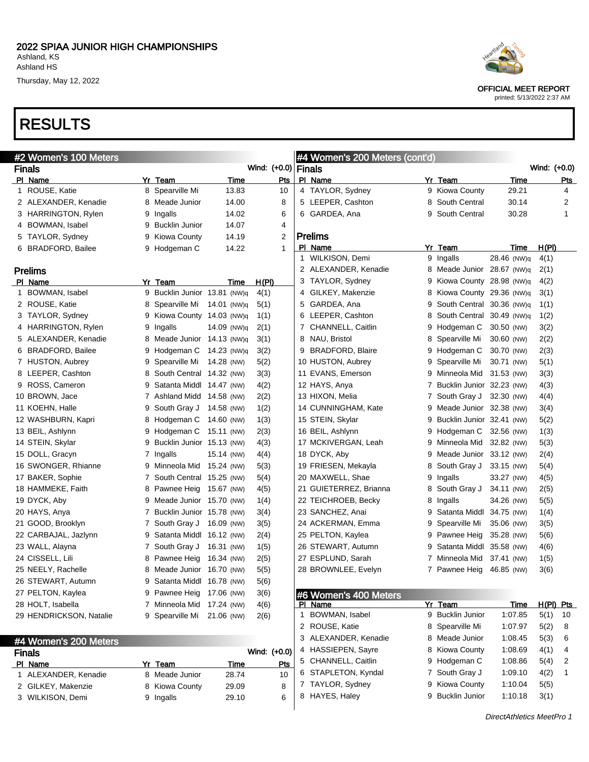# RESULTS

| #2 Women's 100 Meters           |                              |               |              |           |              | #4 Women's 200 Meters (cont'd) |   |                            |             |              |  |
|---------------------------------|------------------------------|---------------|--------------|-----------|--------------|--------------------------------|---|----------------------------|-------------|--------------|--|
| <b>Finals</b>                   |                              |               | Wind: (+0.0) |           |              | Finals                         |   |                            |             | Wind: (+0.0) |  |
| PI Name                         | Yr Team                      | Time          |              | Pts       |              | PI_Name                        |   | Yr Team                    | Time        | Pts          |  |
| 1 ROUSE, Katie                  | 8 Spearville Mi              | 13.83         |              | 10        |              | 4 TAYLOR, Sydney               |   | 9 Kiowa County             | 29.21       | 4            |  |
| 2 ALEXANDER, Kenadie            | 8 Meade Junior               | 14.00         |              | 8         |              | 5 LEEPER, Cashton              | 8 | South Central              | 30.14       | 2            |  |
| 3 HARRINGTON, Rylen             | 9 Ingalls                    | 14.02         |              | 6         |              | 6 GARDEA, Ana                  | 9 | South Central              | 30.28       | 1            |  |
| 4 BOWMAN, Isabel                | 9 Bucklin Junior             | 14.07         |              | 4         |              |                                |   |                            |             |              |  |
| 5 TAYLOR, Sydney                | 9 Kiowa County               | 14.19         |              | 2         |              | <b>Prelims</b>                 |   |                            |             |              |  |
| 6 BRADFORD, Bailee              | 9 Hodgeman C                 | 14.22         |              | 1         |              | PI Name                        |   | Yr_Team                    | Time        | H(PI)        |  |
|                                 |                              |               |              |           | $\mathbf{1}$ | WILKISON, Demi                 |   | 9 Ingalls                  | 28.46 (NW)q | 4(1)         |  |
| <b>Prelims</b>                  |                              |               |              |           |              | 2 ALEXANDER, Kenadie           |   | 8 Meade Junior 28.67 (NW)q |             | 2(1)         |  |
| PI Name                         | Yr Team                      | Time          | H(PI)        |           |              | 3 TAYLOR, Sydney               | 9 | Kiowa County 28.98 (NW)q   |             | 4(2)         |  |
| 1 BOWMAN, Isabel                | 9 Bucklin Junior 13.81 (NW)q |               | 4(1)         |           |              | 4 GILKEY, Makenzie             | 8 | Kiowa County 29.36 (NW)q   |             | 3(1)         |  |
| 2 ROUSE, Katie                  | 8 Spearville Mi              | 14.01 (NW)q   | 5(1)         |           |              | 5 GARDEA, Ana                  | 9 | South Central 30.36 (NW)q  |             | 1(1)         |  |
| 3 TAYLOR, Sydney                | 9 Kiowa County 14.03 (NW)q   |               | 1(1)         |           |              | 6 LEEPER, Cashton              | 8 | South Central 30.49 (NW)q  |             | 1(2)         |  |
| 4 HARRINGTON, Rylen             | 9 Ingalls                    | 14.09 (NW)q   | 2(1)         |           |              | 7 CHANNELL, Caitlin            | 9 | Hodgeman C                 | 30.50 (NW)  | 3(2)         |  |
| 5 ALEXANDER, Kenadie            | 8 Meade Junior 14.13 (NW)q   |               | 3(1)         |           |              | 8 NAU, Bristol                 |   | 8 Spearville Mi            | 30.60 (NW)  | 2(2)         |  |
| 6 BRADFORD, Bailee              | 9 Hodgeman C                 | 14.23 (NW)g   | 3(2)         |           |              | 9 BRADFORD, Blaire             | 9 | Hodgeman C                 | 30.70 (NW)  | 2(3)         |  |
| 7 HUSTON, Aubrey                | 9 Spearville Mi              | 14.28 (NW)    | 5(2)         |           |              | 10 HUSTON, Aubrey              | 9 | Spearville Mi              | 30.71 (NW)  | 5(1)         |  |
| 8 LEEPER, Cashton               | 8 South Central 14.32 (NW)   |               | 3(3)         |           |              | 11 EVANS, Emerson              | 9 | Minneola Mid 31.53 (NW)    |             | 3(3)         |  |
| 9 ROSS, Cameron                 | 9 Satanta Middl 14.47 (NW)   |               | 4(2)         |           |              | 12 HAYS, Anya                  | 7 | Bucklin Junior 32.23 (NW)  |             | 4(3)         |  |
| 10 BROWN, Jace                  | 7 Ashland Midd 14.58 (NW)    |               | 2(2)         |           |              | 13 HIXON, Melia                | 7 | South Gray J               | 32.30 (NW)  | 4(4)         |  |
| 11 KOEHN, Halle                 | 9 South Gray J               | 14.58 (NW)    | 1(2)         |           |              | 14 CUNNINGHAM, Kate            | 9 | Meade Junior 32.38 (NW)    |             | 3(4)         |  |
| 12 WASHBURN, Kapri              | 8 Hodgeman C                 | 14.60 (NW)    | 1(3)         |           |              | 15 STEIN, Skylar               | 9 | Bucklin Junior 32.41 (NW)  |             | 5(2)         |  |
| 13 BEIL, Ashlynn                | 9 Hodgeman C                 | 15.11 (NW)    | 2(3)         |           |              | 16 BEIL, Ashlynn               | 9 | Hodgeman C                 | 32.56 (NW)  | 1(3)         |  |
| 14 STEIN, Skylar                | 9 Bucklin Junior 15.13 (NW)  |               | 4(3)         |           |              | 17 MCKIVERGAN, Leah            | 9 | Minneola Mid               | 32.82 (NW)  | 5(3)         |  |
| 15 DOLL, Gracyn                 | 7 Ingalls                    | 15.14 (NW)    | 4(4)         |           |              | 18 DYCK, Aby                   | 9 | Meade Junior 33.12 (NW)    |             | 2(4)         |  |
| 16 SWONGER, Rhianne             | 9 Minneola Mid 15.24 (NW)    |               | 5(3)         |           |              | 19 FRIESEN, Mekayla            | 8 | South Gray J               | 33.15 (NW)  | 5(4)         |  |
| 17 BAKER, Sophie                | 7 South Central 15.25 (NW)   |               | 5(4)         |           |              | 20 MAXWELL, Shae               | 9 | Ingalls                    | 33.27 (NW)  | 4(5)         |  |
| 18 HAMMEKE, Faith               | 8 Pawnee Heig 15.67 (NW)     |               | 4(5)         |           |              | 21 GUIETERREZ, Brianna         | 8 | South Gray J               | 34.11 (NW)  | 2(5)         |  |
| 19 DYCK, Aby                    | 9 Meade Junior 15.70 (NW)    |               | 1(4)         |           |              | 22 TEICHROEB, Becky            | 8 | Ingalls                    | 34.26 (NW)  | 5(5)         |  |
| 20 HAYS, Anya                   | 7 Bucklin Junior 15.78 (NW)  |               | 3(4)         |           |              | 23 SANCHEZ, Anai               | 9 | Satanta Middl 34.75 (NW)   |             | 1(4)         |  |
| 21 GOOD, Brooklyn               | 7 South Gray J 16.09 (NW)    |               | 3(5)         |           |              | 24 ACKERMAN, Emma              | 9 | Spearville Mi              | 35.06 (NW)  | 3(5)         |  |
| 22 CARBAJAL, Jazlynn            | 9 Satanta Middl 16.12 (NW)   |               | 2(4)         |           |              | 25 PELTON, Kaylea              | 9 | Pawnee Heig                | 35.28 (NW)  | 5(6)         |  |
| 23 WALL, Alayna                 | 7 South Gray J               | 16.31 (NW)    | 1(5)         |           |              | 26 STEWART, Autumn             | 9 | Satanta Middl 35.58 (NW)   |             | 4(6)         |  |
| 24 CISSELL, Lili                | 8 Pawnee Heig                | 16.34 (NW)    | 2(5)         |           |              | 27 ESPLUND, Sarah              | 7 | Minneola Mid               | 37.41 (NW)  | 1(5)         |  |
| 25 NEELY, Rachelle              | 8 Meade Junior 16.70 (NW)    |               | 5(5)         |           |              | 28 BROWNLEE, Evelyn            |   | 7 Pawnee Heig 46.85 (NW)   |             | 3(6)         |  |
| 26 STEWART, Autumn              | 9 Satanta Middl 16.78 (NW)   |               | 5(6)         |           |              |                                |   |                            |             |              |  |
| 27 PELTON, Kaylea               | 9 Pawnee Heig                | 17.06 (NW)    | 3(6)         |           |              | #6 Women's 400 Meters          |   |                            |             |              |  |
| 28 HOLT, Isabella               | 7 Minneola Mid 17.24 (NW)    |               | 4(6)         |           |              | PI Name                        |   | Yr Team                    | <u>Time</u> | $H(PI)$ Pts  |  |
| 29 HENDRICKSON, Natalie         | 9 Spearville Mi              | 21.06 (NW)    | 2(6)         |           | 1            | BOWMAN, Isabel                 |   | 9 Bucklin Junior           | 1:07.85     | 5(1)<br>10   |  |
|                                 |                              |               |              |           |              | 2 ROUSE, Katie                 |   | 8 Spearville Mi            | 1:07.97     | 5(2)<br>8    |  |
|                                 |                              |               |              |           |              | 3 ALEXANDER, Kenadie           |   | 8 Meade Junior             | 1:08.45     | 5(3)<br>6    |  |
| #4 Women's 200 Meters           |                              |               | Wind: (+0.0) |           |              | 4 HASSIEPEN, Sayre             |   | 8 Kiowa County             | 1:08.69     | 4(1)<br>4    |  |
| <b>Finals</b>                   |                              |               |              |           |              | 5 CHANNELL, Caitlin            |   | 9 Hodgeman C               | 1:08.86     | 5(4)<br>2    |  |
| PI Name<br>1 ALEXANDER, Kenadie | Yr Team<br>8 Meade Junior    | Time<br>28.74 |              | Pts<br>10 |              | 6 STAPLETON, Kyndal            |   | 7 South Gray J             | 1:09.10     | 4(2)<br>1    |  |
| 2 GILKEY, Makenzie              | 8 Kiowa County               | 29.09         |              | 8         |              | 7 TAYLOR, Sydney               |   | 9 Kiowa County             | 1:10.04     | 5(5)         |  |
|                                 |                              |               |              | 6         |              | 8 HAYES, Haley                 |   | 9 Bucklin Junior           | 1:10.18     | 3(1)         |  |
| 3 WILKISON, Demi                | 9 Ingalls                    | 29.10         |              |           |              |                                |   |                            |             |              |  |



OFFICIAL MEET REPORT

printed: 5/13/2022 2:37 AM

DirectAthletics MeetPro 1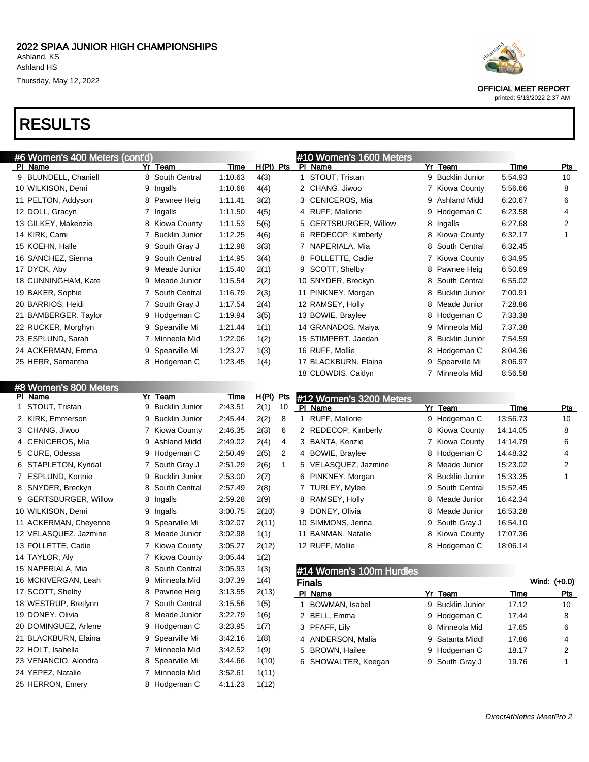# RESULTS

| #6 Women's 400 Meters <u>(cont'd</u> ) |   |                       |             |             |              |              | #10 Women's 1600 Meters    |   |                       |             |              |
|----------------------------------------|---|-----------------------|-------------|-------------|--------------|--------------|----------------------------|---|-----------------------|-------------|--------------|
| PI Name                                |   | Yr Team               | Time        | $H(PI)$ Pts |              |              | PI Name                    |   | Yr Team               | Time        | Pts          |
| 9 BLUNDELL, Chaniell                   |   | 8 South Central       | 1:10.63     | 4(3)        |              |              | 1 STOUT, Tristan           |   | 9 Bucklin Junior      | 5:54.93     | 10           |
| 10 WILKISON, Demi                      | 9 | Ingalls               | 1:10.68     | 4(4)        |              |              | 2 CHANG, Jiwoo             |   | 7 Kiowa County        | 5:56.66     | 8            |
| 11 PELTON, Addyson                     | 8 | Pawnee Heig           | 1:11.41     | 3(2)        |              |              | 3 CENICEROS, Mia           | 9 | Ashland Midd          | 6:20.67     | 6            |
| 12 DOLL, Gracyn                        |   | 7 Ingalls             | 1:11.50     | 4(5)        |              |              | 4 RUFF, Mallorie           | 9 | Hodgeman C            | 6:23.58     | 4            |
| 13 GILKEY, Makenzie                    |   | 8 Kiowa County        | 1:11.53     | 5(6)        |              | 5            | <b>GERTSBURGER, Willow</b> | 8 | Ingalls               | 6:27.68     | 2            |
| 14 KIRK, Cami                          | 7 | <b>Bucklin Junior</b> | 1:12.25     | 4(6)        |              |              | 6 REDECOP, Kimberly        | 8 | <b>Kiowa County</b>   | 6:32.17     | 1            |
| 15 KOEHN, Halle                        | 9 | South Gray J          | 1:12.98     | 3(3)        |              |              | 7 NAPERIALA, Mia           | 8 | South Central         | 6:32.45     |              |
| 16 SANCHEZ, Sienna                     | 9 | South Central         | 1:14.95     | 3(4)        |              |              | 8 FOLLETTE, Cadie          | 7 | Kiowa County          | 6:34.95     |              |
| 17 DYCK, Aby                           | 9 | Meade Junior          | 1:15.40     | 2(1)        |              | 9            | SCOTT, Shelby              | 8 | Pawnee Heig           | 6:50.69     |              |
| 18 CUNNINGHAM, Kate                    | 9 | Meade Junior          | 1:15.54     | 2(2)        |              |              | 10 SNYDER, Breckyn         | 8 | South Central         | 6:55.02     |              |
| 19 BAKER, Sophie                       |   | 7 South Central       | 1:16.79     | 2(3)        |              |              | 11 PINKNEY, Morgan         | 8 | <b>Bucklin Junior</b> | 7:00.91     |              |
| 20 BARRIOS, Heidi                      |   | 7 South Gray J        | 1:17.54     | 2(4)        |              |              | 12 RAMSEY, Holly           | 8 | Meade Junior          | 7:28.86     |              |
| 21 BAMBERGER, Taylor                   | 9 | Hodgeman C            | 1:19.94     | 3(5)        |              |              | 13 BOWIE, Braylee          | 8 | Hodgeman C            | 7:33.38     |              |
| 22 RUCKER, Morghyn                     | 9 | Spearville Mi         | 1:21.44     | 1(1)        |              |              | 14 GRANADOS, Maiya         | 9 | Minneola Mid          | 7:37.38     |              |
| 23 ESPLUND, Sarah                      | 7 | Minneola Mid          | 1:22.06     | 1(2)        |              |              | 15 STIMPERT, Jaedan        | 8 | <b>Bucklin Junior</b> | 7:54.59     |              |
| 24 ACKERMAN, Emma                      | 9 | Spearville Mi         | 1:23.27     | 1(3)        |              |              | 16 RUFF, Mollie            | 8 | Hodgeman C            | 8:04.36     |              |
| 25 HERR, Samantha                      |   | 8 Hodgeman C          | 1:23.45     | 1(4)        |              |              | 17 BLACKBURN, Elaina       | 9 | Spearville Mi         | 8:06.97     |              |
|                                        |   |                       |             |             |              |              | 18 CLOWDIS, Caitlyn        | 7 | Minneola Mid          | 8:56.58     |              |
| #8 Women's 800 Meters                  |   |                       |             |             |              |              |                            |   |                       |             |              |
| PI Name                                |   | Yr Team               | <u>Time</u> | H(PI) Pts   |              |              | #12 Women's 3200 Meters    |   |                       |             |              |
| 1 STOUT, Tristan                       |   | 9 Bucklin Junior      | 2:43.51     | 2(1)        | 10           |              | PI Name                    |   | Yr Team               | <b>Time</b> | <b>Pts</b>   |
| 2 KIRK, Emmerson                       | 9 | <b>Bucklin Junior</b> | 2:45.44     | 2(2)        | 8            |              | 1 RUFF, Mallorie           |   | 9 Hodgeman C          | 13:56.73    | 10           |
| 3 CHANG, Jiwoo                         |   | 7 Kiowa County        | 2:46.35     | 2(3)        | 6            |              | 2 REDECOP, Kimberly        | 8 | Kiowa County          | 14:14.05    | 8            |
| 4 CENICEROS, Mia                       | 9 | Ashland Midd          | 2:49.02     | 2(4)        | 4            |              | 3 BANTA, Kenzie            | 7 | <b>Kiowa County</b>   | 14:14.79    | 6            |
| 5 CURE, Odessa                         | 9 | Hodgeman C            | 2:50.49     | 2(5)        | 2            |              | 4 BOWIE, Braylee           | 8 | Hodgeman C            | 14:48.32    | 4            |
| 6 STAPLETON, Kyndal                    |   | 7 South Gray J        | 2:51.29     | 2(6)        | $\mathbf{1}$ |              | 5 VELASQUEZ, Jazmine       | 8 | Meade Junior          | 15:23.02    | 2            |
| 7 ESPLUND, Kortnie                     | 9 | <b>Bucklin Junior</b> | 2:53.00     | 2(7)        |              |              | 6 PINKNEY, Morgan          | 8 | <b>Bucklin Junior</b> | 15:33.35    | 1            |
| 8 SNYDER, Breckyn                      | 8 | South Central         | 2:57.49     | 2(8)        |              |              | 7 TURLEY, Mylee            | 9 | South Central         | 15:52.45    |              |
| 9 GERTSBURGER, Willow                  | 8 | Ingalls               | 2:59.28     | 2(9)        |              |              | 8 RAMSEY, Holly            | 8 | Meade Junior          | 16:42.34    |              |
| 10 WILKISON, Demi                      | 9 | Ingalls               | 3:00.75     | 2(10)       |              |              | 9 DONEY, Olivia            | 8 | Meade Junior          | 16:53.28    |              |
| 11 ACKERMAN, Cheyenne                  | 9 | Spearville Mi         | 3:02.07     | 2(11)       |              |              | 10 SIMMONS, Jenna          | 9 | South Gray J          | 16:54.10    |              |
| 12 VELASQUEZ, Jazmine                  | 8 | Meade Junior          | 3:02.98     | 1(1)        |              |              | 11 BANMAN, Natalie         | 8 | Kiowa County          | 17:07.36    |              |
| 13 FOLLETTE, Cadie                     |   | 7 Kiowa County        | 3:05.27     | 2(12)       |              |              | 12 RUFF, Mollie            | 8 | Hodgeman C            | 18:06.14    |              |
| 14 TAYLOR, Aly                         |   | 7 Kiowa County        | 3:05.44     | 1(2)        |              |              |                            |   |                       |             |              |
| 15 NAPERIALA, Mia                      | 8 | South Central         | 3:05.93     | 1(3)        |              |              | #14 Women's 100m Hurdles   |   |                       |             |              |
| 16 MCKIVERGAN, Leah                    | 9 | Minneola Mid          | 3:07.39     | 1(4)        |              |              | <b>Finals</b>              |   |                       |             | Wind: (+0.0) |
| 17 SCOTT, Shelby                       | 8 | Pawnee Heig           | 3:13.55     | 2(13)       |              |              | PI Name                    |   | Yr Team               | <u>Time</u> | <u>Pts</u>   |
| 18 WESTRUP, Bretlynn                   |   | 7 South Central       | 3:15.56     | 1(5)        |              | $\mathbf{1}$ | BOWMAN, Isabel             |   | 9 Bucklin Junior      | 17.12       | 10           |
| 19 DONEY, Olivia                       | 8 | Meade Junior          | 3:22.79     | 1(6)        |              |              | 2 BELL, Emma               |   | 9 Hodgeman C          | 17.44       | 8            |
| 20 DOMINGUEZ, Arlene                   | 9 | Hodgeman C            | 3:23.95     | 1(7)        |              |              | 3 PFAFF, Lily              |   | 8 Minneola Mid        | 17.65       | 6            |
| 21 BLACKBURN, Elaina                   | 9 | Spearville Mi         | 3:42.16     | 1(8)        |              | 4            | ANDERSON, Malia            | 9 | Satanta Middl         | 17.86       | 4            |
| 22 HOLT, Isabella                      | 7 | Minneola Mid          | 3:42.52     | 1(9)        |              | 5            | <b>BROWN, Hailee</b>       | 9 | Hodgeman C            | 18.17       | 2            |
| 23 VENANCIO, Alondra                   | 8 | Spearville Mi         | 3:44.66     | 1(10)       |              |              | 6 SHOWALTER, Keegan        |   | 9 South Gray J        | 19.76       | 1            |
| 24 YEPEZ, Natalie                      |   | 7 Minneola Mid        | 3:52.61     | 1(11)       |              |              |                            |   |                       |             |              |
| 25 HERRON, Emery                       |   | 8 Hodgeman C          | 4:11.23     | 1(12)       |              |              |                            |   |                       |             |              |
|                                        |   |                       |             |             |              |              |                            |   |                       |             |              |

i.



OFFICIAL MEET REPORT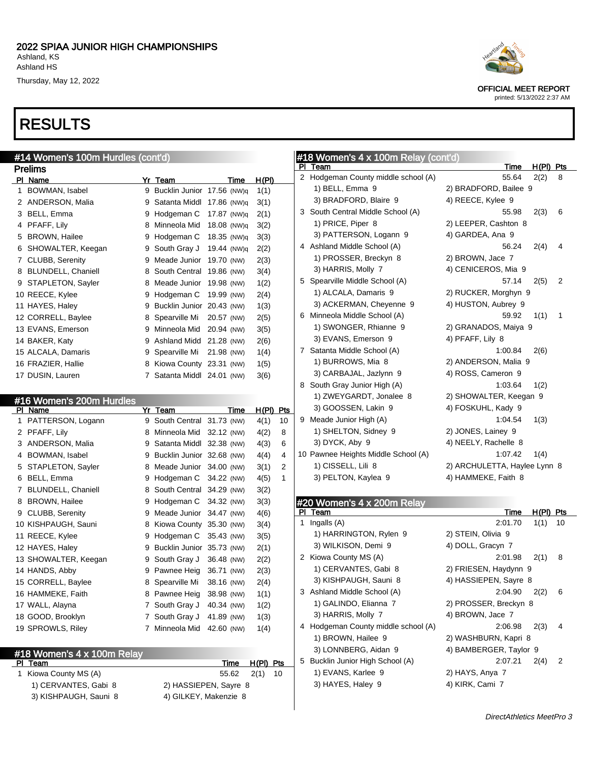# RESULTS

| #14 Women's 100m Hurdles (cont'd) |                        |    |                       |             |              |  |  |  |  |  |  |
|-----------------------------------|------------------------|----|-----------------------|-------------|--------------|--|--|--|--|--|--|
|                                   | Prelims                |    |                       |             |              |  |  |  |  |  |  |
| ΡI                                | <b>Name</b>            | Yr | Team                  | <u>Time</u> | <u>H(PI)</u> |  |  |  |  |  |  |
| 1                                 | BOWMAN, Isabel         | 9  | <b>Bucklin Junior</b> | 17.56 (NW)q | 1(1)         |  |  |  |  |  |  |
| 2                                 | ANDERSON, Malia        | 9  | Satanta Middl         | 17.86 (NW)q | 3(1)         |  |  |  |  |  |  |
| 3                                 | BELL, Emma             | 9  | Hodgeman C            | 17.87 (NW)q | 2(1)         |  |  |  |  |  |  |
| 4                                 | PFAFF, Lily            | 8  | Minneola Mid          | 18.08 (NW)q | 3(2)         |  |  |  |  |  |  |
| 5                                 | <b>BROWN, Hailee</b>   | 9  | Hodgeman C            | 18.35 (NW)q | 3(3)         |  |  |  |  |  |  |
| 6                                 | SHOWALTER, Keegan      | 9  | South Gray J          | 19.44 (NW)q | 2(2)         |  |  |  |  |  |  |
| 7                                 | <b>CLUBB, Serenity</b> | 9  | Meade Junior          | 19.70 (NW)  | 2(3)         |  |  |  |  |  |  |
| 8                                 | BLUNDELL, Chaniell     | 8  | South Central         | 19.86 (NW)  | 3(4)         |  |  |  |  |  |  |
| 9                                 | STAPLETON, Sayler      | 8  | Meade Junior          | 19.98 (NW)  | 1(2)         |  |  |  |  |  |  |
|                                   | 10 REECE, Kylee        | 9  | Hodgeman C            | 19.99 (NW)  | 2(4)         |  |  |  |  |  |  |
|                                   | 11 HAYES, Haley        | 9  | <b>Bucklin Junior</b> | 20.43 (NW)  | 1(3)         |  |  |  |  |  |  |
|                                   | 12 CORRELL, Baylee     | 8  | Spearville Mi         | 20.57 (NW)  | 2(5)         |  |  |  |  |  |  |
|                                   | 13 EVANS, Emerson      | 9  | Minneola Mid          | 20.94 (NW)  | 3(5)         |  |  |  |  |  |  |
|                                   | 14 BAKER, Katy         | 9  | <b>Ashland Midd</b>   | 21.28 (NW)  | 2(6)         |  |  |  |  |  |  |
|                                   | 15 ALCALA, Damaris     | 9  | Spearville Mi         | 21.98 (NW)  | 1(4)         |  |  |  |  |  |  |
|                                   | 16 FRAZIER, Hallie     | 8  | Kiowa County          | 23.31 (NW)  | 1(5)         |  |  |  |  |  |  |
|                                   | 17 DUSIN, Lauren       |    | 7 Satanta Middl       | 24.01 (NW)  | 3(6)         |  |  |  |  |  |  |

|    | #16 Women's 200m Hurdles  |   |                           |            |       |     |
|----|---------------------------|---|---------------------------|------------|-------|-----|
| ΡI | Name                      |   | Yr Team                   | Time       | H(PI) | Pts |
| 1  | PATTERSON, Logann         | 9 | South Central             | 31.73 (NW) | 4(1)  | 10  |
| 2  | PFAFF, Lily               | 8 | Minneola Mid              | 32.12 (NW) | 4(2)  | 8   |
| 3  | ANDERSON, Malia           | 9 | Satanta Middl             | 32.38 (NW) | 4(3)  | 6   |
| 4  | BOWMAN, Isabel            | 9 | Bucklin Junior 32.68 (NW) |            | 4(4)  | 4   |
| 5  | STAPLETON, Sayler         | 8 | Meade Junior              | 34.00 (NW) | 3(1)  | 2   |
| 6  | BELL, Emma                | 9 | Hodgeman C                | 34.22 (NW) | 4(5)  | 1   |
| 7  | <b>BLUNDELL, Chaniell</b> | 8 | South Central             | 34.29 (NW) | 3(2)  |     |
| 8  | <b>BROWN, Hailee</b>      | 9 | Hodgeman C                | 34.32 (NW) | 3(3)  |     |
| 9  | <b>CLUBB, Serenity</b>    | 9 | Meade Junior              | 34.47 (NW) | 4(6)  |     |
|    | 10 KISHPAUGH, Sauni       | 8 | Kiowa County              | 35.30 (NW) | 3(4)  |     |
|    | 11 REECE, Kylee           | 9 | Hodgeman C                | 35.43 (NW) | 3(5)  |     |
|    | 12 HAYES, Haley           | 9 | <b>Bucklin Junior</b>     | 35.73 (NW) | 2(1)  |     |
|    | 13 SHOWALTER, Keegan      | 9 | South Gray J              | 36.48 (NW) | 2(2)  |     |
|    | 14 HANDS, Abby            | 9 | Pawnee Heig               | 36.71 (NW) | 2(3)  |     |
|    | 15 CORRELL, Baylee        | 8 | Spearville Mi             | 38.16 (NW) | 2(4)  |     |
|    | 16 HAMMEKE, Faith         | 8 | Pawnee Heig               | 38.98 (NW) | 1(1)  |     |
|    | 17 WALL, Alayna           | 7 | South Gray J              | 40.34 (NW) | 1(2)  |     |
|    | 18 GOOD, Brooklyn         | 7 | South Gray J              | 41.89 (NW) | 1(3)  |     |
|    | 19 SPROWLS, Riley         | 7 | Minneola Mid              | 42.60 (NW) | 1(4)  |     |
|    |                           |   |                           |            |       |     |

### #18 Women's 4 x 100m Relay<br>PL Team

1) CERVANTES, Gabi 8 2) HASSIEPEN, Sayre 8 3) KISHPAUGH, Sauni 8 4) GILKEY, Makenzie 8

Time H(PI) Pts 1 Kiowa County MS (A) 55.62 2(1) 10

### #18 Women's 4 x 100m Relay (cont'd)

|    | #18 women's 4 x 100m Relay (cont d) |                                    |
|----|-------------------------------------|------------------------------------|
| ΡI | Team                                | <u>Time</u><br><u>H(PI)</u><br>Pts |
|    | 2 Hodgeman County middle school (A) | 55.64<br>2(2)<br>8                 |
|    | 1) BELL, Emma 9                     | 2) BRADFORD, Bailee 9              |
|    | 3) BRADFORD, Blaire 9               | 4) REECE, Kylee 9                  |
|    | 3 South Central Middle School (A)   | 55.98<br>2(3)<br>6                 |
|    | 1) PRICE, Piper 8                   | 2) LEEPER, Cashton 8               |
|    | 3) PATTERSON, Logann 9              | 4) GARDEA, Ana 9                   |
|    | 4 Ashland Middle School (A)         | 2(4)<br>56.24<br>4                 |
|    | 1) PROSSER, Breckyn 8               | 2) BROWN, Jace 7                   |
|    | 3) HARRIS, Molly 7                  | 4) CENICEROS, Mia 9                |
|    | 5 Spearville Middle School (A)      | 57.14<br>2(5)<br>2                 |
|    | 1) ALCALA, Damaris 9                | 2) RUCKER, Morghyn 9               |
|    | 3) ACKERMAN, Cheyenne 9             | 4) HUSTON, Aubrey 9                |
|    | 6 Minneola Middle School (A)        | 59.92<br>1(1)<br>1                 |
|    | 1) SWONGER, Rhianne 9               | 2) GRANADOS, Maiya 9               |
|    | 3) EVANS, Emerson 9                 | 4) PFAFF, Lily 8                   |
|    | 7 Satanta Middle School (A)         | 1:00.84<br>2(6)                    |
|    | 1) BURROWS, Mia 8                   | 2) ANDERSON, Malia 9               |
|    | 3) CARBAJAL, Jazlynn 9              | 4) ROSS, Cameron 9                 |
|    | 8 South Gray Junior High (A)        | 1:03.64<br>1(2)                    |
|    | 1) ZWEYGARDT, Jonalee 8             | 2) SHOWALTER, Keegan 9             |
|    | 3) GOOSSEN, Lakin 9                 | 4) FOSKUHL, Kady 9                 |
|    | 9 Meade Junior High (A)             | 1:04.54<br>1(3)                    |
|    | 1) SHELTON, Sidney 9                | 2) JONES, Lainey 9                 |
|    | 3) DYCK, Aby 9                      | 4) NEELY, Rachelle 8               |
|    | 10 Pawnee Heights Middle School (A) | 1:07.42<br>1(4)                    |
|    | 1) CISSELL, Lili 8                  | 2) ARCHULETTA, Haylee Lynn 8       |
|    | 3) PELTON, Kaylea 9                 | 4) HAMMEKE, Faith 8                |
|    |                                     |                                    |
|    |                                     |                                    |
| Ы  | #20 Women's 4 x 200m Relay<br>Team  | H(PI)<br>Pts<br><u>Time</u>        |
| 1  | Ingalls (A)                         | 2:01.70<br>1(1)<br>10              |
|    | 1) HARRINGTON, Rylen 9              | 2) STEIN, Olivia 9                 |
|    | 3) WILKISON, Demi 9                 | 4) DOLL, Gracyn 7                  |
|    | 2 Kiowa County MS (A)               | 2(1)<br>2:01.98<br>8               |
|    | 1) CERVANTES, Gabi 8                | 2) FRIESEN, Haydynn 9              |
|    |                                     | 4) HASSIEPEN, Sayre 8              |
|    | 3) KISHPAUGH, Sauni 8               |                                    |
|    | 3 Ashland Middle School (A)         | 2:04.90<br>2(2)<br>6               |
|    | 1) GALINDO, Elianna 7               | 2) PROSSER, Breckyn 8              |
|    | 3) HARRIS, Molly 7                  | 4) BROWN, Jace 7                   |
|    | 4 Hodgeman County middle school (A) | 2:06.98<br>2(3)<br>4               |
|    | 1) BROWN, Hailee 9                  | 2) WASHBURN, Kapri 8               |
|    | 3) LONNBERG, Aidan 9                | 4) BAMBERGER, Taylor 9             |
|    | 5 Bucklin Junior High School (A)    | 2:07.21<br>2<br>2(4)               |
|    | 1) EVANS, Karlee 9                  | 2) HAYS, Anya 7                    |

3) HAYES, Haley 9 4) KIRK, Cami 7



OFFICIAL MEET REPORT printed: 5/13/2022 2:37 AM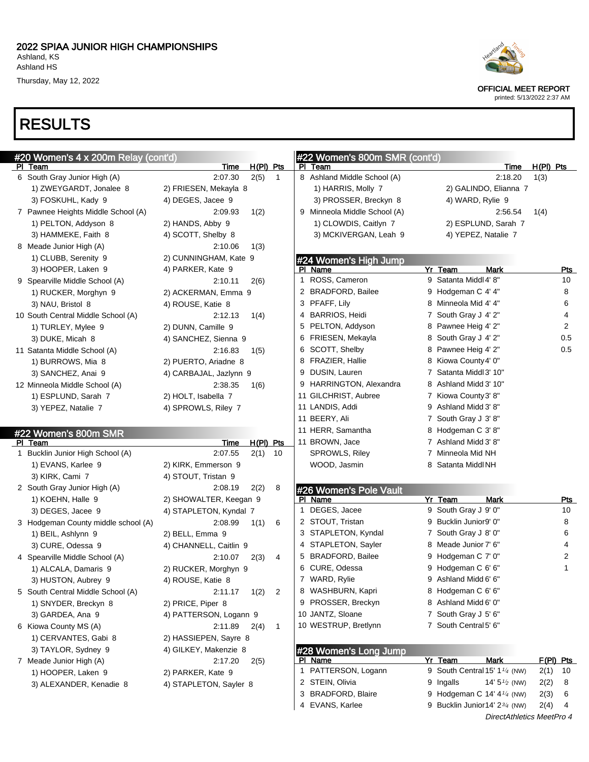# RESULTS

| Heartland |
|-----------|
|           |
|           |

OFFICIAL MEET REPORT

| #20 Women's 4 x 200m Relay (cont'd)     |                        |                     |                |   | #22 Women's 800m SMR (cont'd)          |                                           |                     |                |
|-----------------------------------------|------------------------|---------------------|----------------|---|----------------------------------------|-------------------------------------------|---------------------|----------------|
| PI Team<br>6 South Gray Junior High (A) | <b>Time</b><br>2:07.30 | $H(PI)$ Pts<br>2(5) | $\mathbf{1}$   |   | PI Team<br>8 Ashland Middle School (A) | Time<br>2:18.20                           | $H(PI)$ Pts<br>1(3) |                |
| 1) ZWEYGARDT, Jonalee 8                 | 2) FRIESEN, Mekayla 8  |                     |                |   | 1) HARRIS, Molly 7                     | 2) GALINDO, Elianna 7                     |                     |                |
| 3) FOSKUHL, Kady 9                      | 4) DEGES, Jacee 9      |                     |                |   | 3) PROSSER, Breckyn 8                  | 4) WARD, Rylie 9                          |                     |                |
| 7 Pawnee Heights Middle School (A)      | 2:09.93                | 1(2)                |                |   | 9 Minneola Middle School (A)           | 2:56.54                                   | 1(4)                |                |
| 1) PELTON, Addyson 8                    | 2) HANDS, Abby 9       |                     |                |   | 1) CLOWDIS, Caitlyn 7                  | 2) ESPLUND, Sarah 7                       |                     |                |
| 3) HAMMEKE, Faith 8                     | 4) SCOTT, Shelby 8     |                     |                |   | 3) MCKIVERGAN, Leah 9                  | 4) YEPEZ, Natalie 7                       |                     |                |
| 8 Meade Junior High (A)                 | 2:10.06                |                     |                |   |                                        |                                           |                     |                |
| 1) CLUBB, Serenity 9                    | 2) CUNNINGHAM, Kate 9  | 1(3)                |                |   |                                        |                                           |                     |                |
| 3) HOOPER, Laken 9                      | 4) PARKER, Kate 9      |                     |                |   | #24 Women's High Jump<br>PI Name       | Yr Team<br>Mark                           |                     | <u>Pts</u>     |
|                                         |                        |                     |                |   | 1 ROSS, Cameron                        | 9 Satanta Middl 4' 8"                     |                     | 10             |
| 9 Spearville Middle School (A)          | 2:10.11                | 2(6)                |                |   | 2 BRADFORD, Bailee                     | 9 Hodgeman C 4' 4"                        |                     | 8              |
| 1) RUCKER, Morghyn 9                    | 2) ACKERMAN, Emma 9    |                     |                |   | 3 PFAFF, Lily                          | 8 Minneola Mid 4' 4"                      |                     | 6              |
| 3) NAU, Bristol 8                       | 4) ROUSE, Katie 8      |                     |                |   | 4 BARRIOS, Heidi                       | 7 South Gray J 4' 2"                      |                     | 4              |
| 10 South Central Middle School (A)      | 2:12.13                | 1(4)                |                |   |                                        |                                           |                     | $\overline{2}$ |
| 1) TURLEY, Mylee 9                      | 2) DUNN, Camille 9     |                     |                |   | 5 PELTON, Addyson                      | 8 Pawnee Heig 4' 2"                       |                     | 0.5            |
| 3) DUKE, Micah 8                        | 4) SANCHEZ, Sienna 9   |                     |                |   | 6 FRIESEN, Mekayla                     | 8 South Gray J 4' 2"                      |                     |                |
| 11 Satanta Middle School (A)            | 2:16.83                | 1(5)                |                |   | 6 SCOTT, Shelby<br>8 FRAZIER, Hallie   | 8 Pawnee Heig 4' 2"                       |                     | 0.5            |
| 1) BURROWS, Mia 8                       | 2) PUERTO, Ariadne 8   |                     |                |   |                                        | 8 Kiowa County 4' 0"                      |                     |                |
| 3) SANCHEZ, Anai 9                      | 4) CARBAJAL, Jazlynn 9 |                     |                |   | 9 DUSIN, Lauren                        | 7 Satanta Middl 3' 10"                    |                     |                |
| 12 Minneola Middle School (A)           | 2:38.35                | 1(6)                |                |   | 9 HARRINGTON, Alexandra                | 8 Ashland Midd 3' 10"                     |                     |                |
| 1) ESPLUND, Sarah 7                     | 2) HOLT, Isabella 7    |                     |                |   | 11 GILCHRIST, Aubree                   | 7 Kiowa County 3' 8"                      |                     |                |
| 3) YEPEZ, Natalie 7                     | 4) SPROWLS, Riley 7    |                     |                |   | 11 LANDIS, Addi                        | 9 Ashland Midd 3' 8"                      |                     |                |
|                                         |                        |                     |                |   | 11 BEERY, Ali                          | 7 South Gray J 3' 8"                      |                     |                |
| #22 Women's 800m SMR                    |                        |                     |                |   | 11 HERR, Samantha                      | 8 Hodgeman C 3'8"                         |                     |                |
| PI Team                                 | <b>Time</b>            | $H(PI)$ Pts         |                |   | 11 BROWN, Jace                         | 7 Ashland Midd 3' 8"                      |                     |                |
| 1 Bucklin Junior High School (A)        | 2:07.55                | 2(1)                | 10             |   | SPROWLS, Riley                         | 7 Minneola Mid NH                         |                     |                |
| 1) EVANS, Karlee 9                      | 2) KIRK, Emmerson 9    |                     |                |   | WOOD, Jasmin                           | 8 Satanta Middl NH                        |                     |                |
| 3) KIRK, Cami 7                         | 4) STOUT, Tristan 9    |                     |                |   |                                        |                                           |                     |                |
| 2 South Gray Junior High (A)            | 2:08.19                | 2(2)                | 8              |   | #26 Women's Pole Vault                 |                                           |                     |                |
| 1) KOEHN, Halle 9                       | 2) SHOWALTER, Keegan 9 |                     |                |   | PI Name                                | Yr Team<br>Mark                           |                     | Pts            |
| 3) DEGES, Jacee 9                       | 4) STAPLETON, Kyndal 7 |                     |                | 1 | DEGES, Jacee                           | 9 South Gray J 9' 0"                      |                     | 10             |
| 3 Hodgeman County middle school (A)     | 2:08.99                | 1(1)                | 6              |   | 2 STOUT, Tristan                       | 9 Bucklin Junior9' 0"                     |                     | 8              |
| 1) BEIL, Ashlynn 9                      | 2) BELL, Emma 9        |                     |                |   | 3 STAPLETON, Kyndal                    | 7 South Gray J 8' 0"                      |                     | 6              |
| 3) CURE, Odessa 9                       | 4) CHANNELL, Caitlin 9 |                     |                |   | 4 STAPLETON, Sayler                    | 8 Meade Junior 7' 6"                      |                     | 4              |
| 4 Spearville Middle School (A)          | 2:10.07                | 2(3)                | 4              |   | 5 BRADFORD, Bailee                     | 9 Hodgeman C 7' 0"                        |                     | 2              |
| 1) ALCALA, Damaris 9                    | 2) RUCKER, Morghyn 9   |                     |                |   | 6 CURE, Odessa                         | 9 Hodgeman C 6' 6"                        |                     | 1              |
| 3) HUSTON, Aubrey 9                     | 4) ROUSE, Katie 8      |                     |                |   | 7 WARD, Rylie                          | 9 Ashland Midd 6' 6"                      |                     |                |
| 5 South Central Middle School (A)       | 2:11.17                | 1(2)                | $\overline{2}$ |   | 8 WASHBURN, Kapri                      | 8 Hodgeman C 6' 6"                        |                     |                |
| 1) SNYDER, Breckyn 8                    | 2) PRICE, Piper 8      |                     |                |   | 9 PROSSER, Breckyn                     | 8 Ashland Midd 6' 0"                      |                     |                |
| 3) GARDEA, Ana 9                        | 4) PATTERSON, Logann 9 |                     |                |   | 10 JANTZ, Sloane                       | 7 South Gray J 5' 6"                      |                     |                |
| 6 Kiowa County MS (A)                   | 2:11.89                | 2(4)                | $\mathbf{1}$   |   | 10 WESTRUP, Bretlynn                   | 7 South Central 5' 6"                     |                     |                |
| 1) CERVANTES, Gabi 8                    | 2) HASSIEPEN, Sayre 8  |                     |                |   |                                        |                                           |                     |                |
| 3) TAYLOR, Sydney 9                     | 4) GILKEY, Makenzie 8  |                     |                |   | #28 Women's Long Jump                  |                                           |                     |                |
| 7 Meade Junior High (A)                 | 2:17.20                | 2(5)                |                |   | PI Name                                | <b>Mark</b><br>Yr Team                    |                     | F(PI) Pts      |
| 1) HOOPER, Laken 9                      | 2) PARKER, Kate 9      |                     |                |   | 1 PATTERSON, Logann                    | 9 South Central 15' 1 <sup>1/4</sup> (NW) |                     | $2(1)$ 10      |
| 3) ALEXANDER, Kenadie 8                 | 4) STAPLETON, Sayler 8 |                     |                |   | 2 STEIN, Olivia                        | 9 Ingalls<br>14' $5\frac{1}{2}$ (NW)      | 2(2)                | 8              |
|                                         |                        |                     |                |   | 3 BRADFORD, Blaire                     | 9 Hodgeman C 14' $4\frac{1}{4}$ (NW)      | 2(3)                | 6              |
|                                         |                        |                     |                |   | 4 EVANS, Karlee                        | 9 Bucklin Junior14' 23/4 (NW)             |                     | $2(4)$ 4       |
|                                         |                        |                     |                |   |                                        | DirectAthletics MeetPro 4                 |                     |                |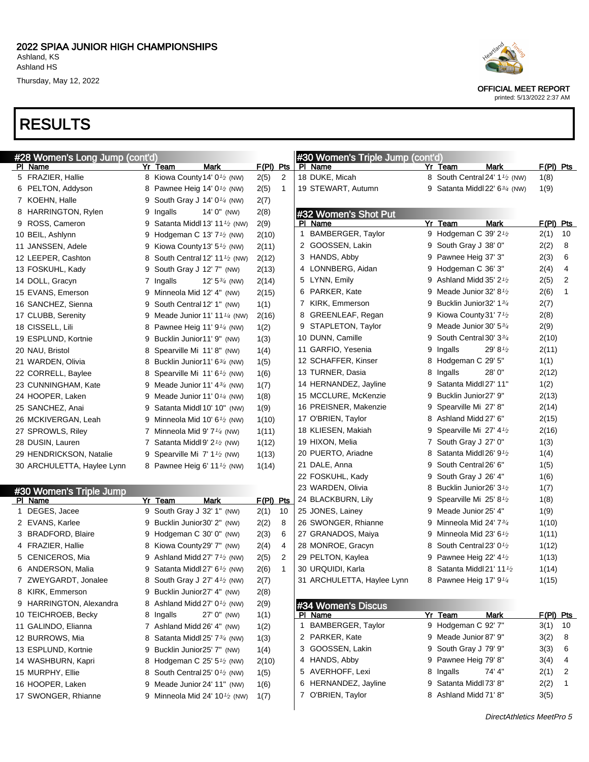# RESULTS



OFFICIAL MEET REPORT

| #28 Women's Long Jump (cont'd) |                                                         |             |              | #30 Women's Triple Jump (cont'd) |   |                                                        |       |             |
|--------------------------------|---------------------------------------------------------|-------------|--------------|----------------------------------|---|--------------------------------------------------------|-------|-------------|
| PI Name                        | Yr Team<br>Mark                                         | $F(PI)$ Pts |              | PI Name                          |   | <b>Mark</b><br>Yr Team                                 |       | F(PI) Pts   |
| 5 FRAZIER, Hallie              | 8 Kiowa County 14' 0 <sup>1</sup> / <sub>2</sub> (NW)   | 2(5)        | 2            | 18 DUKE, Micah                   |   | 8 South Central 24' 1 <sup>1</sup> / <sub>2</sub> (NW) | 1(8)  |             |
| 6 PELTON, Addyson              | 8 Pawnee Heig 14' $0\frac{1}{2}$ (NW)                   | 2(5)        | $\mathbf{1}$ | 19 STEWART, Autumn               |   | 9 Satanta Middl 22' $6\frac{3}{4}$ (NW)                | 1(9)  |             |
| 7 KOEHN, Halle                 | 9 South Gray J 14' $0\frac{1}{4}$ (NW)                  | 2(7)        |              |                                  |   |                                                        |       |             |
| 8 HARRINGTON, Rylen            | 9 Ingalls<br>14' $0^{\prime\prime}$ (NW)                | 2(8)        |              | #32 Women's Shot Put             |   |                                                        |       |             |
| 9 ROSS, Cameron                | 9 Satanta Middl 13' 11 $\frac{1}{2}$ (NW)               | 2(9)        |              | PI Name                          |   | Yr Team<br><b>Mark</b>                                 |       | $F(PI)$ Pts |
| 10 BEIL, Ashlynn               | 9 Hodgeman C 13' $7\frac{1}{2}$ (NW)                    | 2(10)       |              | 1 BAMBERGER, Taylor              |   | 9 Hodgeman C 39' 2 <sup>1</sup> /2                     | 2(1)  | 10          |
| 11 JANSSEN, Adele              | 9 Kiowa County 13' $5\frac{1}{2}$ (NW)                  | 2(11)       |              | 2 GOOSSEN, Lakin                 |   | 9 South Gray J 38' 0"                                  | 2(2)  | 8           |
| 12 LEEPER, Cashton             | 8 South Central 12' 11 <sup>1</sup> / <sub>2</sub> (NW) | 2(12)       |              | 3 HANDS, Abby                    |   | 9 Pawnee Heig 37' 3"                                   | 2(3)  | 6           |
| 13 FOSKUHL, Kady               | 9 South Gray J 12' 7" (NW)                              | 2(13)       |              | 4 LONNBERG, Aidan                |   | 9 Hodgeman C 36' 3"                                    | 2(4)  | 4           |
| 14 DOLL, Gracyn                | 7 Ingalls<br>12' $5\frac{3}{4}$ (NW)                    | 2(14)       |              | 5 LYNN, Emily                    |   | 9 Ashland Midd $35'$ 2 <sup>1</sup> / <sub>2</sub>     | 2(5)  | 2           |
| 15 EVANS, Emerson              | 9 Minneola Mid 12' 4" (NW)                              | 2(15)       |              | 6 PARKER, Kate                   |   | 9 Meade Junior 32' $8\frac{1}{2}$                      | 2(6)  | 1           |
| 16 SANCHEZ, Sienna             | 9 South Central 12' 1" (NW)                             | 1(1)        |              | 7 KIRK, Emmerson                 | 9 | Bucklin Junior 32' 1 3/4                               | 2(7)  |             |
| 17 CLUBB, Serenity             | 9 Meade Junior 11' 11 $\frac{1}{4}$ (NW)                | 2(16)       |              | 8 GREENLEAF, Regan               |   | 9 Kiowa County 31' 7 <sup>1</sup> /2                   | 2(8)  |             |
| 18 CISSELL, Lili               | 8 Pawnee Heig 11' $9\frac{1}{4}$ (NW)                   | 1(2)        |              | 9 STAPLETON, Taylor              |   | 9 Meade Junior 30' $5\frac{3}{4}$                      | 2(9)  |             |
| 19 ESPLUND, Kortnie            | 9 Bucklin Junior11' 9" (NW)                             | 1(3)        |              | 10 DUNN, Camille                 |   | 9 South Central 30' 334                                | 2(10) |             |
| 20 NAU, Bristol                | 8 Spearville Mi 11'8" (NW)                              | 1(4)        |              | 11 GARFIO, Yesenia               |   | 29' 8 <sup>1/2</sup><br>9 Ingalls                      | 2(11) |             |
| 21 WARDEN, Olivia              | 8 Bucklin Junior11' 6 <sup>3/4</sup> (NW)               | 1(5)        |              | 12 SCHAFFER, Kinser              |   | 8 Hodgeman C 29' 5"                                    | 1(1)  |             |
| 22 CORRELL, Baylee             | 8 Spearville Mi 11' 6 <sup>1</sup> / <sub>2</sub> (NW)  | 1(6)        |              | 13 TURNER, Dasia                 |   | 28' 0"<br>8 Ingalls                                    | 2(12) |             |
| 23 CUNNINGHAM, Kate            | 9 Meade Junior 11' $4\frac{3}{4}$ (NW)                  | 1(7)        |              | 14 HERNANDEZ, Jayline            |   | 9 Satanta Middl 27' 11"                                | 1(2)  |             |
| 24 HOOPER, Laken               | 9 Meade Junior 11' $0\frac{1}{4}$ (NW)                  | 1(8)        |              | 15 MCCLURE, McKenzie             |   | 9 Bucklin Junior27' 9"                                 | 2(13) |             |
| 25 SANCHEZ, Anai               | 9 Satanta Middl 10' 10" (NW)                            | 1(9)        |              | 16 PREISNER, Makenzie            |   | 9 Spearville Mi 27' 8"                                 | 2(14) |             |
| 26 MCKIVERGAN, Leah            | 9 Minneola Mid 10' 6 $\frac{1}{2}$ (NW)                 | 1(10)       |              | 17 O'BRIEN, Taylor               |   | 8 Ashland Midd 27' 6"                                  | 2(15) |             |
| 27 SPROWLS, Riley              | 7 Minneola Mid 9' $7\frac{1}{4}$ (NW)                   | 1(11)       |              | 18 KLIESEN, Makiah               |   | 9 Spearville Mi 27' 4 <sup>1</sup> /2                  | 2(16) |             |
| 28 DUSIN, Lauren               | 7 Satanta Middl 9' $2\frac{1}{2}$ (NW)                  | 1(12)       |              | 19 HIXON, Melia                  |   | 7 South Gray J 27' 0"                                  | 1(3)  |             |
| 29 HENDRICKSON, Natalie        | 9 Spearville Mi 7' 1 <sup>1</sup> / <sub>2</sub> (NW)   | 1(13)       |              | 20 PUERTO, Ariadne               |   | 8 Satanta Middl 26' 9 <sup>1</sup> /2                  | 1(4)  |             |
| 30 ARCHULETTA, Haylee Lynn     | 8 Pawnee Heig 6' 11 $\frac{1}{2}$ (NW)                  | 1(14)       |              | 21 DALE, Anna                    |   | 9 South Central 26' 6"                                 | 1(5)  |             |
|                                |                                                         |             |              | 22 FOSKUHL, Kady                 |   | 9 South Gray J 26' 4"                                  | 1(6)  |             |
| #30 Women's Triple Jump        |                                                         |             |              | 23 WARDEN, Olivia                | 8 | Bucklin Junior26' 3 <sup>1</sup> /2                    | 1(7)  |             |
| PI Name                        | Mark<br>Yr Team                                         | $F(PI)$ Pts |              | 24 BLACKBURN, Lily               |   | 9 Spearville Mi 25' 8 <sup>1</sup> /2                  | 1(8)  |             |
| 1 DEGES, Jacee                 | 9 South Gray J 32' 1" (NW)                              | 2(1)        | 10           | 25 JONES, Lainey                 |   | 9 Meade Junior 25' 4"                                  | 1(9)  |             |
| 2 EVANS, Karlee                | 9 Bucklin Junior 30' 2" (NW)                            | 2(2)        | 8            | 26 SWONGER, Rhianne              |   | 9 Minneola Mid 24' 734                                 | 1(10) |             |
| 3 BRADFORD, Blaire             | 9 Hodgeman C 30' 0" (NW)                                | 2(3)        | 6            | 27 GRANADOS, Maiya               |   | 9 Minneola Mid 23' 6 $\frac{1}{2}$                     | 1(11) |             |
| 4 FRAZIER, Hallie              | 8 Kiowa County 29' 7" (NW)                              | 2(4)        | 4            | 28 MONROE, Gracyn                | 8 | South Central 23' 0 <sup>1</sup> /2                    | 1(12) |             |
| 5 CENICEROS, Mia               | 9 Ashland Midd 27' 7 <sup>1/2</sup> (NW)                | 2(5)        | 2            | 29 PELTON, Kaylea                |   | 9 Pawnee Heig 22' $4\frac{1}{2}$                       | 1(13) |             |
| 6 ANDERSON, Malia              | 9 Satanta Middl 27' 6 <sup>1</sup> / <sub>2</sub> (NW)  | 2(6)        | $\mathbf{1}$ | 30 URQUIDI, Karla                |   | 8 Satanta Middl 21' 11 <sup>1</sup> / <sub>2</sub>     | 1(14) |             |
| 7 ZWEYGARDT, Jonalee           | 8 South Gray J 27' 4 <sup>1</sup> / <sub>2</sub> (NW)   | 2(7)        |              | 31 ARCHULETTA, Haylee Lynn       |   | 8 Pawnee Heig 17' 91/4                                 | 1(15) |             |
| 8 KIRK, Emmerson               | 9 Bucklin Junior27' 4" (NW)                             | 2(8)        |              |                                  |   |                                                        |       |             |
| 9 HARRINGTON, Alexandra        | 8 Ashland Midd $27' 01⁄2$ (NW)                          | 2(9)        |              |                                  |   |                                                        |       |             |
| 10 TEICHROEB, Becky            | 8 Ingalls<br>27' 0" (NW)                                | 1(1)        |              | #34 Women's Discus<br>PI Name    |   | Yr Team<br><b>Mark</b>                                 |       | F(PI) Pts   |
| 11 GALINDO, Elianna            | 7 Ashland Midd 26' 4" (NW)                              | 1(2)        |              | 1 BAMBERGER, Taylor              |   | 9 Hodgeman C 92' 7"                                    | 3(1)  | 10          |
| 12 BURROWS, Mia                | 8 Satanta Middl 25' 7 <sup>3/4</sup> (NW)               | 1(3)        |              | 2 PARKER, Kate                   |   | 9 Meade Junior 87' 9"                                  | 3(2)  | 8           |
| 13 ESPLUND, Kortnie            | 9 Bucklin Junior25' 7" (NW)                             | 1(4)        |              | 3 GOOSSEN, Lakin                 |   | 9 South Gray J 79' 9"                                  | 3(3)  | 6           |
| 14 WASHBURN, Kapri             | 8 Hodgeman C 25' 5 <sup>1</sup> / <sub>2</sub> (NW)     | 2(10)       |              | 4 HANDS, Abby                    |   | 9 Pawnee Heig 79' 8"                                   | 3(4)  | 4           |
| 15 MURPHY, Ellie               | 8 South Central 25' 0 <sup>1</sup> / <sub>2</sub> (NW)  | 1(5)        |              | 5 AVERHOFF, Lexi                 |   | 74' 4"<br>8 Ingalls                                    | 2(1)  | 2           |
| 16 HOOPER, Laken               | 9 Meade Junior 24' 11" (NW)                             | 1(6)        |              | 6 HERNANDEZ, Jayline             |   | 9 Satanta Middl 73' 8"                                 | 2(2)  | 1           |
| 17 SWONGER, Rhianne            | 9 Minneola Mid 24' 10 $\frac{1}{2}$ (NW)                | 1(7)        |              | 7 O'BRIEN, Taylor                |   | 8 Ashland Midd 71' 8"                                  | 3(5)  |             |
|                                |                                                         |             |              |                                  |   |                                                        |       |             |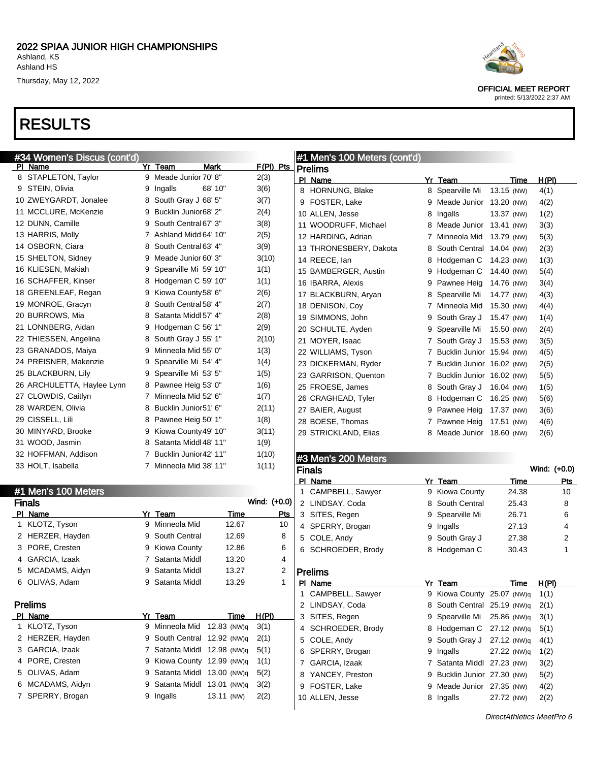### RESULTS

#1 Mon's 100 Meter



OFFICIAL MEET REPORT printed: 5/13/2022 2:37 AM

| #34 Women's Discus (cont'd)<br>PI_Name |   | Yr Team                 | Mark    | $F(PI)$ Pts | #1 Men's 100 Meters (cont'd) |   |                             |            |             |             |
|----------------------------------------|---|-------------------------|---------|-------------|------------------------------|---|-----------------------------|------------|-------------|-------------|
| 8 STAPLETON, Taylor                    |   | 9 Meade Junior 70' 8"   |         | 2(3)        | Prelims<br>PI Name           |   | Yr Team                     |            | Time        | H(PI)       |
| 9 STEIN, Olivia                        | 9 | Ingalls                 | 68' 10" | 3(6)        | 8 HORNUNG, Blake             |   | 8 Spearville Mi             | 13.15 (NW) |             | 4(1)        |
| 10 ZWEYGARDT, Jonalee                  | 8 | South Gray J 68' 5"     |         | 3(7)        | 9 FOSTER, Lake               |   | 9 Meade Junior 13.20 (NW)   |            |             | 4(2)        |
| 11 MCCLURE, McKenzie                   | 9 | Bucklin Junior68' 2"    |         | 2(4)        | 10 ALLEN, Jesse              |   | 8 Ingalls                   | 13.37 (NW) |             | 1(2)        |
| 12 DUNN, Camille                       |   | 9 South Central 67' 3"  |         | 3(8)        | 11 WOODRUFF, Michael         |   | 8 Meade Junior 13.41 (NW)   |            |             | 3(3)        |
| 13 HARRIS, Molly                       |   | 7 Ashland Midd 64' 10"  |         | 2(5)        | 12 HARDING, Adrian           |   | 7 Minneola Mid 13.79 (NW)   |            |             | 5(3)        |
| 14 OSBORN, Ciara                       | 8 | South Central 63' 4"    |         | 3(9)        | 13 THRONESBERY, Dakota       | 8 | South Central 14.04 (NW)    |            |             | 2(3)        |
| 15 SHELTON, Sidney                     | 9 | Meade Junior 60' 3"     |         | 3(10)       | 14 REECE, lan                | 8 | Hodgeman C                  | 14.23 (NW) |             | 1(3)        |
| 16 KLIESEN, Makiah                     | 9 | Spearville Mi 59' 10"   |         | 1(1)        | 15 BAMBERGER, Austin         | 9 | Hodgeman C                  | 14.40 (NW) |             | 5(4)        |
| 16 SCHAFFER, Kinser                    | 8 | Hodgeman C 59' 10"      |         | 1(1)        | 16 IBARRA, Alexis            | 9 | Pawnee Heig                 | 14.76 (NW) |             | 3(4)        |
| 18 GREENLEAF, Regan                    |   | 9 Kiowa County 58' 6"   |         | 2(6)        | 17 BLACKBURN, Aryan          | 8 | Spearville Mi               | 14.77 (NW) |             | 4(3)        |
| 19 MONROE, Gracyn                      | 8 | South Central 58' 4"    |         | 2(7)        | 18 DENISON, Coy              |   | 7 Minneola Mid 15.30 (NW)   |            |             | 4(4)        |
| 20 BURROWS, Mia                        | 8 | Satanta Middl 57' 4"    |         | 2(8)        | 19 SIMMONS, John             | 9 | South Gray J                | 15.47 (NW) |             | 1(4)        |
| 21 LONNBERG, Aidan                     | 9 | Hodgeman C 56' 1"       |         | 2(9)        | 20 SCHULTE, Ayden            |   | 9 Spearville Mi             | 15.50 (NW) |             | 2(4)        |
| 22 THIESSEN, Angelina                  | 8 | South Gray J 55' 1"     |         | 2(10)       | 21 MOYER, Isaac              |   | 7 South Gray J              | 15.53 (NW) |             | 3(5)        |
| 23 GRANADOS, Maiya                     | 9 | Minneola Mid 55' 0"     |         | 1(3)        | 22 WILLIAMS, Tyson           |   | 7 Bucklin Junior 15.94 (NW) |            |             | 4(5)        |
| 24 PREISNER, Makenzie                  | 9 | Spearville Mi 54' 4"    |         | 1(4)        | 23 DICKERMAN, Ryder          |   | 7 Bucklin Junior 16.02 (NW) |            |             | 2(5)        |
| 25 BLACKBURN, Lily                     | 9 | Spearville Mi 53' 5"    |         | 1(5)        | 23 GARRISON, Quenton         |   | 7 Bucklin Junior 16.02 (NW) |            |             | 5(5)        |
| 26 ARCHULETTA, Haylee Lynn             |   | 8 Pawnee Heig 53' 0"    |         | 1(6)        | 25 FROESE, James             |   | 8 South Gray J 16.04 (NW)   |            |             | 1(5)        |
| 27 CLOWDIS, Caitlyn                    |   | 7 Minneola Mid 52' 6"   |         | 1(7)        | 26 CRAGHEAD, Tyler           |   | 8 Hodgeman C 16.25 (NW)     |            |             | 5(6)        |
| 28 WARDEN, Olivia                      | 8 | Bucklin Junior51' 6"    |         | 2(11)       | 27 BAIER, August             | 9 | Pawnee Heig                 | 17.37 (NW) |             | 3(6)        |
| 29 CISSELL, Lili                       | 8 | Pawnee Heig 50' 1"      |         | 1(8)        | 28 BOESE, Thomas             |   | 7 Pawnee Heig               | 17.51 (NW) |             | 4(6)        |
| 30 MINYARD, Brooke                     | 9 | Kiowa County 49' 10"    |         | 3(11)       | 29 STRICKLAND, Elias         |   | 8 Meade Junior 18.60 (NW)   |            |             | 2(6)        |
| 31 WOOD, Jasmin                        | 8 | Satanta Middl 48' 11"   |         | 1(9)        |                              |   |                             |            |             |             |
| 32 HOFFMAN, Addison                    |   | 7 Bucklin Junior42' 11" |         | 1(10)       | #3 Men's 200 Meters          |   |                             |            |             |             |
| 33 HOLT, Isabella                      |   | 7 Minneola Mid 38' 11"  |         | 1(11)       | <b>Finals</b>                |   |                             |            |             | Wind: (+0.0 |
|                                        |   |                         |         |             | DI Nomo                      |   | $V_1$ , $T_2$               |            | <b>Time</b> | D6.         |

|     | <b>FI IVIGII S IUU IVIGIGIS</b> |   |               |             |              |
|-----|---------------------------------|---|---------------|-------------|--------------|
|     | Finals                          |   |               |             | Wind: (+0.0) |
| ΡI  | Name                            |   | Yr Team       | Time        | Pts          |
| 1   | KLOTZ, Tyson                    | 9 | Minneola Mid  | 12.67       | 10           |
| 2   | HERZER, Hayden                  | 9 | South Central | 12.69       | 8            |
| 3   | PORE, Cresten                   | 9 | Kiowa County  | 12.86       | 6            |
| 4   | GARCIA, Izaak                   | 7 | Satanta Middl | 13.20       | 4            |
| 5   | MCADAMS, Aidyn                  | 9 | Satanta Middl | 13.27       | 2            |
| 6   | OLIVAS, Adam                    | 9 | Satanta Middl | 13.29       | 1            |
|     | <b>Prelims</b>                  |   |               |             |              |
| PI. | <b>Name</b>                     |   | Yr Team       | Time        | H(PI)        |
| 1   | KLOTZ, Tyson                    | 9 | Minneola Mid  | 12.83 (NW)q | 3(1)         |
| 2   | HERZER, Hayden                  | 9 | South Central | 12.92 (NW)q | 2(1)         |
| 3   | GARCIA, Izaak                   | 7 | Satanta Middl | 12.98 (NW)q | 5(1)         |
| 4   | PORE, Cresten                   | 9 | Kiowa County  | 12.99 (NW)q | 1(1)         |
| 5   | OLIVAS, Adam                    | 9 | Satanta Middl | 13.00 (NW)q | 5(2)         |
| 6   | MCADAMS, Aidyn                  | 9 | Satanta Middl | 13.01 (NW)q | 3(2)         |
| 7   | SPERRY, Brogan                  | 9 | Ingalls       | 13.11 (NW)  | 2(2)         |
|     |                                 |   |               |             |              |

|    | #3 Men's 200 Meters |    |                           |              |       |  |  |  |
|----|---------------------|----|---------------------------|--------------|-------|--|--|--|
|    | Finals              |    |                           | Wind: (+0.0) |       |  |  |  |
|    | PI Name             |    | Yr Team                   | Time         | Pts   |  |  |  |
| 1  | CAMPBELL, Sawyer    | 9  | Kiowa County              | 24.38        | 10    |  |  |  |
| 2  | LINDSAY, Coda       | 8  | South Central             | 25.43        | 8     |  |  |  |
| 3  | SITES, Regen        | 9  | Spearville Mi             | 26.71        | 6     |  |  |  |
| 4  | SPERRY, Brogan      | 9  | Ingalls                   | 27.13        | 4     |  |  |  |
| 5  | COLE, Andy          | 9  | South Gray J              | 27.38        | 2     |  |  |  |
| 6  | SCHROEDER, Brody    | 8  | Hodgeman C                | 30.43        | 1     |  |  |  |
|    | Prelims             |    |                           |              |       |  |  |  |
| PI | Name                | Yr | Team                      | Time         | H(PI) |  |  |  |
| 1  | CAMPBELL, Sawyer    | 9  | Kiowa County 25.07 (NW)q  |              | 1(1)  |  |  |  |
|    | 2 LINDSAY, Coda     | 8. | South Central 25.19 (NW)q |              | 2(1)  |  |  |  |
| 3  | SITES, Regen        | 9  | Spearville Mi 25.86 (NW)q |              | 3(1)  |  |  |  |
| 4  | SCHROEDER, Brody    | 8  | Hodgeman C 27.12 (NW)q    |              | 5(1)  |  |  |  |
| 5  | COLE, Andy          | 9  | South Gray J 27.12 (NW)q  |              | 4(1)  |  |  |  |
| 6  | SPERRY, Brogan      | 9  | Ingalls                   | 27.22 (NW)q  | 1(2)  |  |  |  |
| 7  | GARCIA, Izaak       | 7  | Satanta Middl             | 27.23 (NW)   | 3(2)  |  |  |  |
| 8  | YANCEY, Preston     | 9  | Bucklin Junior 27.30 (NW) |              | 5(2)  |  |  |  |
| 9  | FOSTER, Lake        | 9  | Meade Junior 27.35 (NW)   |              | 4(2)  |  |  |  |
|    | 10 ALLEN, Jesse     | 8  | Ingalls                   | 27.72 (NW)   | 2(2)  |  |  |  |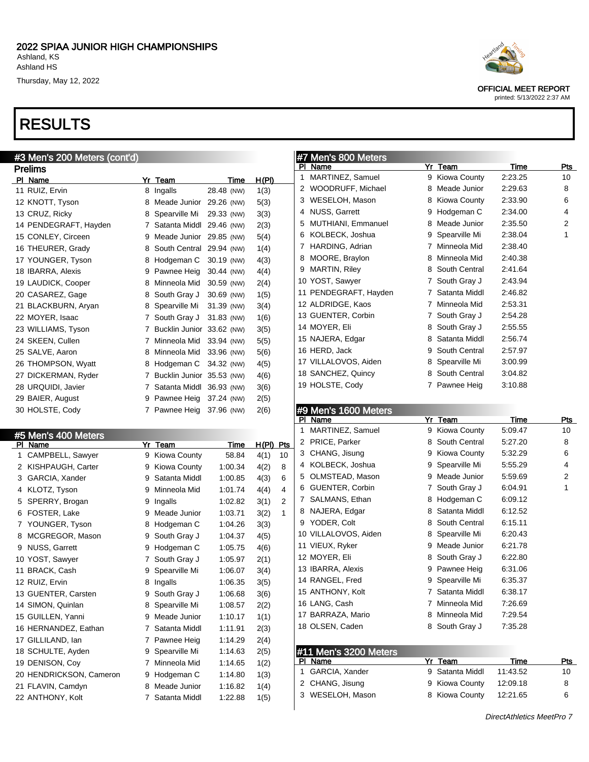## RESULTS

|           | #3 Men's 200 Meters (cont'd) |    |                  |             |              |            |
|-----------|------------------------------|----|------------------|-------------|--------------|------------|
|           | <b>Prelims</b>               |    |                  |             |              |            |
|           | PI Name                      |    | Yr Team          | <u>Time</u> | <u>H(PI)</u> |            |
|           | 11 RUIZ, Ervin               |    | 8 Ingalls        | 28.48 (NW)  | 1(3)         |            |
|           | 12 KNOTT, Tyson              | 8  | Meade Junior     | 29.26 (NW)  | 5(3)         |            |
|           | 13 CRUZ, Ricky               | 8  | Spearville Mi    | 29.33 (NW)  | 3(3)         |            |
|           | 14 PENDEGRAFT, Hayden        | 7  | Satanta Middl    | 29.46 (NW)  | 2(3)         |            |
|           | 15 CONLEY, Circeen           |    | 9 Meade Junior   | 29.85 (NW)  | 5(4)         |            |
|           | 16 THEURER, Grady            | 8  | South Central    | 29.94 (NW)  | 1(4)         |            |
|           | 17 YOUNGER, Tyson            |    | 8 Hodgeman C     | 30.19 (NW)  | 4(3)         |            |
|           | 18 IBARRA, Alexis            |    | 9 Pawnee Heig    | 30.44 (NW)  | 4(4)         |            |
|           | 19 LAUDICK, Cooper           |    | 8 Minneola Mid   | 30.59 (NW)  | 2(4)         |            |
|           | 20 CASAREZ, Gage             | 8  | South Gray J     | 30.69 (NW)  | 1(5)         |            |
|           | 21 BLACKBURN, Aryan          | 8  | Spearville Mi    | 31.39 (NW)  | 3(4)         |            |
|           | 22 MOYER, Isaac              |    | 7 South Gray J   | 31.83 (NW)  | 1(6)         |            |
|           | 23 WILLIAMS, Tyson           |    | 7 Bucklin Junior | 33.62 (NW)  | 3(5)         |            |
|           | 24 SKEEN, Cullen             |    | 7 Minneola Mid   | 33.94 (NW)  | 5(5)         |            |
|           | 25 SALVE, Aaron              | 8  | Minneola Mid     | 33.96 (NW)  | 5(6)         |            |
|           | 26 THOMPSON, Wyatt           |    | 8 Hodgeman C     | 34.32 (NW)  | 4(5)         |            |
|           | 27 DICKERMAN, Ryder          |    | 7 Bucklin Junior | 35.53 (NW)  | 4(6)         |            |
|           | 28 URQUIDI, Javier           |    | 7 Satanta Middl  | 36.93 (NW)  | 3(6)         |            |
|           | 29 BAIER, August             |    | 9 Pawnee Heig    | 37.24 (NW)  | 2(5)         |            |
|           | 30 HOLSTE, Cody              |    | 7 Pawnee Heig    | 37.96 (NW)  | 2(6)         |            |
|           |                              |    |                  |             |              |            |
|           | #5 Men's 400 Meters          |    |                  |             |              |            |
| <u>PI</u> | Name                         | Yr | Team             | Time        | H(PI)        | <u>Pts</u> |
| 1         | CAMPBELL, Sawyer             | 9  | Kiowa County     | 58.84       | 4(1)         | 10         |
|           | 2 KISHPAUGH, Carter          |    | 9 Kiowa County   | 1:00.34     | 4(2)         | 8          |
| 3         | GARCIA, Xander               | 9  | Satanta Middl    | 1:00.85     | 4(3)         | 6          |
| 4         | KLOTZ, Tyson                 | 9  | Minneola Mid     | 1:01.74     | 4(4)         | 4          |
| 5         | SPERRY, Brogan               | 9  | Ingalls          | 1:02.82     | 3(1)         | 2          |
| 6         | FOSTER, Lake                 | 9  | Meade Junior     | 1:03.71     | 3(2)         | 1          |
| 7         | YOUNGER, Tyson               | 8  | Hodgeman C       | 1:04.26     | 3(3)         |            |
| 8         | MCGREGOR, Mason              | 9  | South Gray J     | 1:04.37     | 4(5)         |            |
| 9         | <b>NUSS, Garrett</b>         |    | 9 Hodgeman C     | 1:05.75     | 4(6)         |            |
|           | 10 YOST, Sawyer              |    | 7 South Gray J   | 1:05.97     | 2(1)         |            |
|           | 11 BRACK, Cash               |    | 9 Spearville Mi  | 1:06.07     | 3(4)         |            |
|           | 12 RUIZ, Ervin               |    | 8 Ingalls        | 1:06.35     | 3(5)         |            |
|           | 13 GUENTER, Carsten          |    | 9 South Gray J   | 1:06.68     | 3(6)         |            |
|           | 14 SIMON, Quinlan            | 8  | Spearville Mi    | 1:08.57     | 2(2)         |            |
|           | 15 GUILLEN, Yanni            | 9  | Meade Junior     | 1:10.17     | 1(1)         |            |
|           | 16 HERNANDEZ, Eathan         | 7  | Satanta Middl    | 1:11.91     | 2(3)         |            |
|           | 17 GILLILAND, Ian            | 7  | Pawnee Heig      | 1:14.29     | 2(4)         |            |
|           | 18 SCHULTE, Ayden            | 9  | Spearville Mi    | 1:14.63     | 2(5)         |            |
|           | 19 DENISON, Coy              | 7  | Minneola Mid     | 1:14.65     | 1(2)         |            |

20 HENDRICKSON, Cameron 9 Hodgeman C 1:14.80 1(3) 21 FLAVIN, Camdyn 8 Meade Junior 1:16.82 1(4) ANTHONY, Kolt 7 Satanta Middl 1:22.88 1(5)



OFFICIAL MEET REPORT

printed: 5/13/2022 2:37 AM

### #7 Men's 800 Meters

| PI | Name                  |   | Yr Team       | <b>Time</b> | Pts |
|----|-----------------------|---|---------------|-------------|-----|
| 1  | MARTINEZ, Samuel      | 9 | Kiowa County  | 2:23.25     | 10  |
| 2  | WOODRUFF, Michael     | 8 | Meade Junior  | 2:29.63     | 8   |
| 3  | WESELOH, Mason        | 8 | Kiowa County  | 2:33.90     | 6   |
| 4  | <b>NUSS, Garrett</b>  | 9 | Hodgeman C    | 2:34.00     | 4   |
| 5  | MUTHIANI, Emmanuel    | 8 | Meade Junior  | 2:35.50     | 2   |
| 6  | KOLBECK, Joshua       | 9 | Spearville Mi | 2:38.04     | 1   |
| 7  | HARDING, Adrian       | 7 | Minneola Mid  | 2:38.40     |     |
| 8  | MOORE, Braylon        | 8 | Minneola Mid  | 2:40.38     |     |
| 9  | <b>MARTIN, Riley</b>  | 8 | South Central | 2:41.64     |     |
|    | 10 YOST, Sawyer       | 7 | South Gray J  | 2:43.94     |     |
|    | 11 PENDEGRAFT, Hayden | 7 | Satanta Middl | 2:46.82     |     |
|    | 12 ALDRIDGE, Kaos     | 7 | Minneola Mid  | 2:53.31     |     |
|    | 13 GUENTER, Corbin    | 7 | South Gray J  | 2:54.28     |     |
|    | 14 MOYER, Eli         | 8 | South Gray J  | 2:55.55     |     |
|    | 15 NAJERA, Edgar      | 8 | Satanta Middl | 2:56.74     |     |
|    | 16 HERD, Jack         | 9 | South Central | 2:57.97     |     |
|    | 17 VILLALOVOS, Aiden  | 8 | Spearville Mi | 3:00.99     |     |
|    | 18 SANCHEZ, Quincy    | 8 | South Central | 3:04.82     |     |
|    | 19 HOLSTE, Cody       | 7 | Pawnee Heig   | 3:10.88     |     |

### #9 Men's 1600 Meters

| PI | Name                   | Yr | <b>Team</b>     | Time     | <b>Pts</b> |
|----|------------------------|----|-----------------|----------|------------|
| 1  | MARTINEZ, Samuel       | 9  | Kiowa County    | 5:09.47  | 10         |
| 2  | PRICE, Parker          |    | 8 South Central | 5:27.20  | 8          |
| 3  | CHANG, Jisung          | 9  | Kiowa County    | 5:32.29  | 6          |
| 4  | KOLBECK, Joshua        | 9  | Spearville Mi   | 5:55.29  | 4          |
| 5  | OLMSTEAD, Mason        | 9  | Meade Junior    | 5:59.69  | 2          |
| 6  | <b>GUENTER, Corbin</b> | 7  | South Gray J    | 6:04.91  | 1          |
| 7  | SALMANS, Ethan         | 8  | Hodgeman C      | 6:09.12  |            |
| 8  | NAJERA, Edgar          | 8  | Satanta Middl   | 6:12.52  |            |
| 9  | YODER, Colt            | 8  | South Central   | 6:15.11  |            |
|    | 10 VILLALOVOS, Aiden   | 8  | Spearville Mi   | 6:20.43  |            |
|    | 11 VIEUX, Ryker        | 9  | Meade Junior    | 6:21.78  |            |
|    | 12 MOYER, Eli          | 8  | South Gray J    | 6:22.80  |            |
|    | 13 IBARRA, Alexis      | 9  | Pawnee Heig     | 6:31.06  |            |
|    | 14 RANGEL, Fred        | 9  | Spearville Mi   | 6:35.37  |            |
|    | 15 ANTHONY, Kolt       | 7  | Satanta Middl   | 6:38.17  |            |
|    | 16 LANG, Cash          | 7  | Minneola Mid    | 7:26.69  |            |
|    | 17 BARRAZA, Mario      | 8  | Minneola Mid    | 7:29.54  |            |
|    | 18 OLSEN, Caden        |    | 8 South Gray J  | 7:35.28  |            |
|    |                        |    |                 |          |            |
|    | #11 Men's 3200 Meters  |    |                 |          |            |
| PI | Name                   | Yr | Team            | Time     | Pts        |
| 1  | GARCIA, Xander         | 9  | Satanta Middl   | 11:43.52 | 10         |

2 CHANG, Jisung 9 Kiowa County 12:09.18 8 3 WESELOH, Mason 8 Kiowa County 12:21.65 6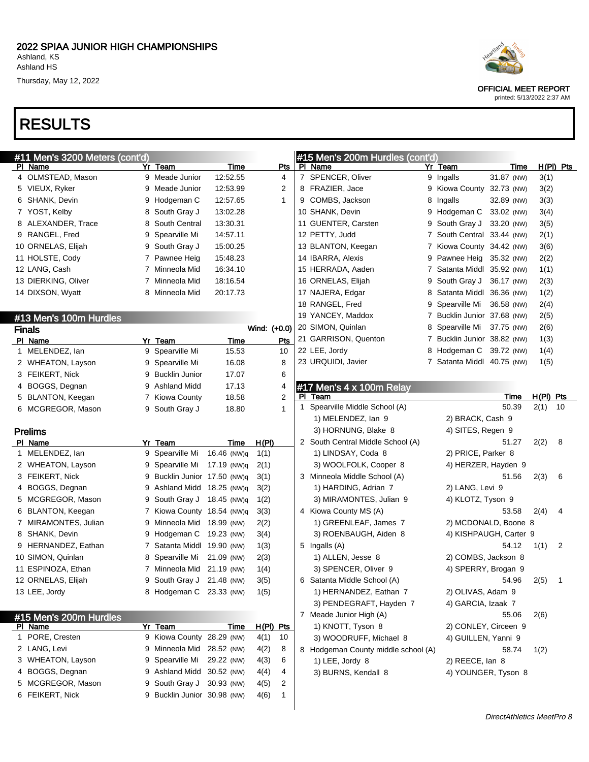# RESULTS

| #11 Men's 3200 Meters (cont'd)      |                              |             |                   |     |     | #15 Men's 200m Hurdles (cont'd)                    |                                             |            |             |                |
|-------------------------------------|------------------------------|-------------|-------------------|-----|-----|----------------------------------------------------|---------------------------------------------|------------|-------------|----------------|
| PI Name                             | Yr Team                      | Time        |                   | Pts |     | PI Name                                            | Yr Team                                     | Time       |             | $H(PI)$ Pts    |
| 4 OLMSTEAD, Mason                   | 9 Meade Junior               | 12:52.55    |                   | 4   |     | 7 SPENCER, Oliver                                  | 9 Ingalls                                   | 31.87 (NW) | 3(1)        |                |
| 5 VIEUX, Ryker                      | 9 Meade Junior               | 12:53.99    |                   | 2   |     | 8 FRAZIER, Jace                                    | 9 Kiowa County 32.73 (NW)                   |            | 3(2)        |                |
| 6 SHANK, Devin                      | 9 Hodgeman C                 | 12:57.65    |                   | 1   |     | 9 COMBS, Jackson                                   | 8 Ingalls                                   | 32.89 (NW) | 3(3)        |                |
| 7 YOST, Kelby                       | 8 South Gray J               | 13:02.28    |                   |     |     | 10 SHANK, Devin                                    | 9 Hodgeman C                                | 33.02 (NW) | 3(4)        |                |
| 8 ALEXANDER, Trace                  | 8 South Central              | 13:30.31    |                   |     |     | 11 GUENTER, Carsten                                | 9 South Gray J                              | 33.20 (NW) | 3(5)        |                |
| 9 RANGEL, Fred                      | 9 Spearville Mi              | 14:57.11    |                   |     |     | 12 PETTY, Judd                                     | 7 South Central 33.44 (NW)                  |            | 2(1)        |                |
| 10 ORNELAS, Elijah                  | 9 South Gray J               | 15:00.25    |                   |     |     | 13 BLANTON, Keegan                                 | 7 Kiowa County 34.42 (NW)                   |            | 3(6)        |                |
| 11 HOLSTE, Cody                     | 7 Pawnee Heig                | 15:48.23    |                   |     |     | 14 IBARRA, Alexis                                  | 9 Pawnee Heig                               | 35.32 (NW) | 2(2)        |                |
| 12 LANG, Cash                       | 7 Minneola Mid               | 16:34.10    |                   |     |     | 15 HERRADA, Aaden                                  | 7 Satanta Middl 35.92 (NW)                  |            | 1(1)        |                |
| 13 DIERKING, Oliver                 | 7 Minneola Mid               | 18:16.54    |                   |     |     | 16 ORNELAS, Elijah                                 | 9 South Gray J                              | 36.17 (NW) | 2(3)        |                |
| 14 DIXSON, Wyatt                    | 8 Minneola Mid               | 20:17.73    |                   |     |     | 17 NAJERA, Edgar                                   | 8 Satanta Middl 36.36 (NW)                  |            | 1(2)        |                |
|                                     |                              |             |                   |     |     | 18 RANGEL, Fred                                    | 9 Spearville Mi                             | 36.58 (NW) | 2(4)        |                |
| #13 Men's 100m Hurdles              |                              |             |                   |     |     | 19 YANCEY, Maddox                                  | 7 Bucklin Junior 37.68 (NW)                 |            | 2(5)        |                |
| <b>Finals</b>                       |                              |             | Wind: (+0.0)      |     |     | 20 SIMON, Quinlan                                  | 8 Spearville Mi                             | 37.75 (NW) | 2(6)        |                |
| PI Name                             | Yr Team                      | Time        |                   | Pts |     | 21 GARRISON, Quenton                               | 7 Bucklin Junior 38.82 (NW)                 |            | 1(3)        |                |
| 1 MELENDEZ, lan                     | 9 Spearville Mi              | 15.53       |                   | 10  |     | 22 LEE, Jordy                                      | 8 Hodgeman C 39.72 (NW)                     |            | 1(4)        |                |
| 2 WHEATON, Layson                   | 9 Spearville Mi              | 16.08       |                   | 8   |     | 23 URQUIDI, Javier                                 | 7 Satanta Middl 40.75 (NW)                  |            | 1(5)        |                |
| 3 FEIKERT, Nick                     | 9 Bucklin Junior             | 17.07       |                   | 6   |     |                                                    |                                             |            |             |                |
| 4 BOGGS, Degnan                     | 9 Ashland Midd               | 17.13       |                   | 4   |     | #17 Men's 4 x 100m Relay                           |                                             |            |             |                |
| 5 BLANTON, Keegan                   | 7 Kiowa County               | 18.58       |                   | 2   | PI. | Team                                               |                                             | Time       | $H(PI)$ Pts |                |
| 6 MCGREGOR, Mason                   | 9 South Gray J               | 18.80       |                   | 1   |     | 1 Spearville Middle School (A)                     |                                             | 50.39      | 2(1)        | -10            |
|                                     |                              |             |                   |     |     | 1) MELENDEZ, Ian 9                                 | 2) BRACK, Cash 9                            |            |             |                |
| <b>Prelims</b>                      |                              |             |                   |     |     | 3) HORNUNG, Blake 8                                | 4) SITES, Regen 9                           |            |             |                |
| PI Name                             | Yr Team                      | Time        | H(PI)             |     |     | 2 South Central Middle School (A)                  |                                             | 51.27      | 2(2)        | 8              |
| 1 MELENDEZ, lan                     | 9 Spearville Mi              | 16.46 (NW)q | 1(1)              |     |     | 1) LINDSAY, Coda 8                                 | 2) PRICE, Parker 8                          |            |             |                |
| 2 WHEATON, Layson                   | 9 Spearville Mi              | 17.19 (NW)q | 2(1)              |     |     | 3) WOOLFOLK, Cooper 8                              | 4) HERZER, Hayden 9                         |            |             |                |
| 3 FEIKERT, Nick                     | 9 Bucklin Junior 17.50 (NW)q |             | 3(1)              |     |     | 3 Minneola Middle School (A)                       |                                             | 51.56      | 2(3)        | 6              |
| 4 BOGGS, Degnan                     | 9 Ashland Midd 18.25 (NW)q   |             | 3(2)              |     |     | 1) HARDING, Adrian 7                               | 2) LANG, Levi 9                             |            |             |                |
| 5 MCGREGOR, Mason                   | 9 South Gray J               | 18.45 (NW)q | 1(2)              |     |     | 3) MIRAMONTES, Julian 9                            | 4) KLOTZ, Tyson 9                           |            |             |                |
| 6 BLANTON, Keegan                   | 7 Kiowa County 18.54 (NW)q   |             | 3(3)              |     |     | 4 Kiowa County MS (A)                              |                                             | 53.58      | 2(4)        | 4              |
| 7 MIRAMONTES, Julian                | 9 Minneola Mid 18.99 (NW)    |             | 2(2)              |     |     | 1) GREENLEAF, James 7                              | 2) MCDONALD, Boone 8                        |            |             |                |
| 8 SHANK, Devin                      | 9 Hodgeman C                 | 19.23 (NW)  | 3(4)              |     |     | 3) ROENBAUGH, Aiden 8                              | 4) KISHPAUGH, Carter 9                      |            |             |                |
| 9 HERNANDEZ, Eathan                 | 7 Satanta Middl 19.90 (NW)   |             | 1(3)              |     |     | 5 Ingalls (A)                                      |                                             | 54.12      | 1(1)        | 2              |
| 10 SIMON, Quinlan                   | 8 Spearville Mi              | 21.09 (NW)  | 2(3)              |     |     | 1) ALLEN, Jesse 8                                  | 2) COMBS, Jackson 8                         |            |             |                |
| 11 ESPINOZA, Ethan                  | 7 Minneola Mid 21.19 (NW)    |             | 1(4)              |     |     | 3) SPENCER, Oliver 9                               | 4) SPERRY, Brogan 9                         |            |             |                |
| 12 ORNELAS, Elijah<br>13 LEE, Jordy | 9 South Gray J 21.48 (NW)    |             | 3(5)              |     |     | 6 Satanta Middle School (A)                        |                                             | 54.96      | 2(5)        | $\overline{1}$ |
|                                     | 8 Hodgeman C 23.33 (NW)      |             | 1(5)              |     |     | 1) HERNANDEZ, Eathan 7                             | 2) OLIVAS, Adam 9                           |            |             |                |
|                                     |                              |             |                   |     |     | 3) PENDEGRAFT, Hayden 7<br>7 Meade Junior High (A) | 4) GARCIA, Izaak 7                          | 55.06      | 2(6)        |                |
| #15 Men's 200m Hurdles              | Yr Team                      | Time        |                   |     |     |                                                    |                                             |            |             |                |
| PI Name<br>1 PORE, Cresten          | 9 Kiowa County 28.29 (NW)    |             | H(PI) Pts<br>4(1) | 10  |     | 1) KNOTT, Tyson 8<br>3) WOODRUFF, Michael 8        | 2) CONLEY, Circeen 9<br>4) GUILLEN, Yanni 9 |            |             |                |
| 2 LANG, Levi                        | 9 Minneola Mid 28.52 (NW)    |             | 4(2)              | 8   |     | 8 Hodgeman County middle school (A)                |                                             | 58.74      |             |                |
| 3 WHEATON, Layson                   | 9 Spearville Mi 29.22 (NW)   |             | 4(3)              | 6   |     | 1) LEE, Jordy 8                                    | 2) REECE, lan 8                             |            | 1(2)        |                |
| 4 BOGGS, Degnan                     | 9 Ashland Midd 30.52 (NW)    |             | 4(4)              | 4   |     | 3) BURNS, Kendall 8                                | 4) YOUNGER, Tyson 8                         |            |             |                |
| 5 MCGREGOR, Mason                   | 9 South Gray J 30.93 (NW)    |             | 4(5)              | 2   |     |                                                    |                                             |            |             |                |
| 6 FEIKERT, Nick                     | 9 Bucklin Junior 30.98 (NW)  |             | 4(6)              | 1   |     |                                                    |                                             |            |             |                |
|                                     |                              |             |                   |     |     |                                                    |                                             |            |             |                |



OFFICIAL MEET REPORT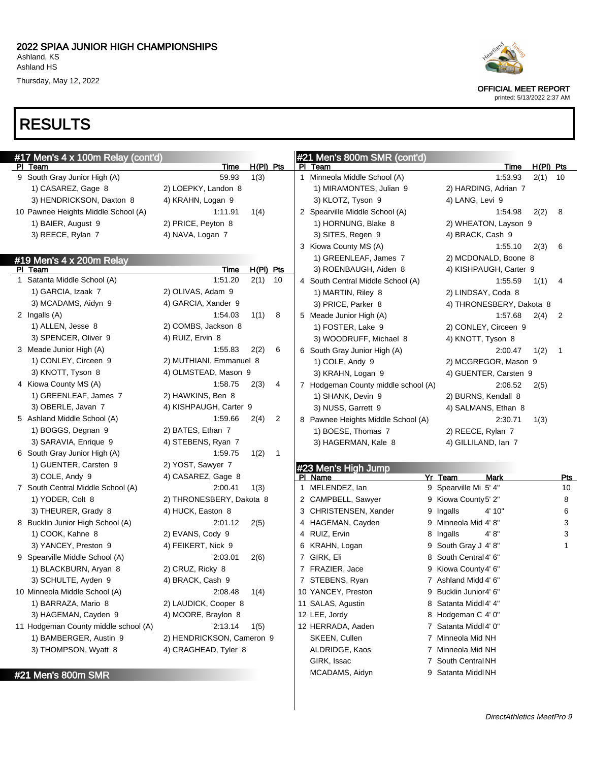PI Team Time H(PI) Pts

Thursday, May 12, 2022

# RESULTS

#17 Men's 4 x 100m Relay (cont'd)



OFFICIAL MEET REPORT printed: 5/13/2022 2:37 AM

| 9 South Gray Junior High (A)         | 59.93                     | 1(3)        |              | 1 Minneola Middle School (A)        |   | 1:53.93                  | $2(1)$ 10                  |
|--------------------------------------|---------------------------|-------------|--------------|-------------------------------------|---|--------------------------|----------------------------|
| 1) CASAREZ, Gage 8                   | 2) LOEPKY, Landon 8       |             |              | 1) MIRAMONTES, Julian 9             |   | 2) HARDING, Adrian 7     |                            |
| 3) HENDRICKSON, Daxton 8             | 4) KRAHN, Logan 9         |             |              | 3) KLOTZ, Tyson 9                   |   | 4) LANG, Levi 9          |                            |
| 10 Pawnee Heights Middle School (A)  | 1:11.91                   | 1(4)        |              | 2 Spearville Middle School (A)      |   | 1:54.98<br>2(2)          | 8                          |
| 1) BAIER, August 9                   | 2) PRICE, Peyton 8        |             |              | 1) HORNUNG, Blake 8                 |   | 2) WHEATON, Layson 9     |                            |
| 3) REECE, Rylan 7                    | 4) NAVA, Logan 7          |             |              | 3) SITES, Regen 9                   |   | 4) BRACK, Cash 9         |                            |
|                                      |                           |             |              | 3 Kiowa County MS (A)               |   | 1:55.10<br>2(3)          | 6                          |
| #19 Men's 4 x 200m Relay             |                           |             |              | 1) GREENLEAF, James 7               |   | 2) MCDONALD, Boone 8     |                            |
| PI Team                              | Time                      | $H(PI)$ Pts |              | 3) ROENBAUGH, Aiden 8               |   | 4) KISHPAUGH, Carter 9   |                            |
| 1 Satanta Middle School (A)          | 1:51.20                   | 2(1)        | - 10         | 4 South Central Middle School (A)   |   | 1:55.59<br>1(1)          | 4                          |
| 1) GARCIA, Izaak 7                   | 2) OLIVAS, Adam 9         |             |              | 1) MARTIN, Riley 8                  |   | 2) LINDSAY, Coda 8       |                            |
| 3) MCADAMS, Aidyn 9                  | 4) GARCIA, Xander 9       |             |              | 3) PRICE, Parker 8                  |   | 4) THRONESBERY, Dakota 8 |                            |
| 2 Ingalls (A)                        | 1:54.03                   | 1(1)        | 8            | 5 Meade Junior High (A)             |   | 1:57.68<br>2(4)          | $\overline{\phantom{0}}^2$ |
| 1) ALLEN, Jesse 8                    | 2) COMBS, Jackson 8       |             |              | 1) FOSTER, Lake 9                   |   | 2) CONLEY, Circeen 9     |                            |
| 3) SPENCER, Oliver 9                 | 4) RUIZ, Ervin 8          |             |              | 3) WOODRUFF, Michael 8              |   | 4) KNOTT, Tyson 8        |                            |
| 3 Meade Junior High (A)              | 1:55.83                   | 2(2)        | 6            | 6 South Gray Junior High (A)        |   | 2:00.47<br>1(2)          | $\overline{1}$             |
| 1) CONLEY, Circeen 9                 | 2) MUTHIANI, Emmanuel 8   |             |              | 1) COLE, Andy 9                     |   | 2) MCGREGOR, Mason 9     |                            |
| 3) KNOTT, Tyson 8                    | 4) OLMSTEAD, Mason 9      |             |              | 3) KRAHN, Logan 9                   |   | 4) GUENTER, Carsten 9    |                            |
| 4 Kiowa County MS (A)                | 1:58.75                   | 2(3)        | 4            | 7 Hodgeman County middle school (A) |   | 2:06.52<br>2(5)          |                            |
| 1) GREENLEAF, James 7                | 2) HAWKINS, Ben 8         |             |              | 1) SHANK, Devin 9                   |   | 2) BURNS, Kendall 8      |                            |
| 3) OBERLE, Javan 7                   | 4) KISHPAUGH, Carter 9    |             |              | 3) NUSS, Garrett 9                  |   | 4) SALMANS, Ethan 8      |                            |
| 5 Ashland Middle School (A)          | 1:59.66                   | 2(4)        | 2            | 8 Pawnee Heights Middle School (A)  |   | 2:30.71<br>1(3)          |                            |
| 1) BOGGS, Degnan 9                   | 2) BATES, Ethan 7         |             |              | 1) BOESE, Thomas 7                  |   | 2) REECE, Rylan 7        |                            |
| 3) SARAVIA, Enrique 9                | 4) STEBENS, Ryan 7        |             |              | 3) HAGERMAN, Kale 8                 |   | 4) GILLILAND, Ian 7      |                            |
| 6 South Gray Junior High (A)         | 1:59.75                   | 1(2)        | $\mathbf{1}$ |                                     |   |                          |                            |
| 1) GUENTER, Carsten 9                | 2) YOST, Sawyer 7         |             |              | #23 Men's High Jump                 |   |                          |                            |
| 3) COLE, Andy 9                      | 4) CASAREZ, Gage 8        |             |              | PI Name                             |   | Yr Team<br><b>Mark</b>   | Pts                        |
| 7 South Central Middle School (A)    | 2:00.41                   | 1(3)        |              | 1 MELENDEZ, lan                     |   | 9 Spearville Mi 5' 4"    | 10                         |
| 1) YODER, Colt 8                     | 2) THRONESBERY, Dakota 8  |             |              | 2 CAMPBELL, Sawyer                  |   | 9 Kiowa County 5' 2"     | 8                          |
| 3) THEURER, Grady 8                  | 4) HUCK, Easton 8         |             |              | 3 CHRISTENSEN, Xander               | 9 | 4' 10"<br>Ingalls        | 6                          |
| 8 Bucklin Junior High School (A)     | 2:01.12                   | 2(5)        |              | 4 HAGEMAN, Cayden                   |   | 9 Minneola Mid 4'8"      | 3                          |
| 1) COOK, Kahne 8                     | 2) EVANS, Cody 9          |             |              | 4 RUIZ, Ervin                       | 8 | 4'8"<br>Ingalls          | 3                          |
| 3) YANCEY, Preston 9                 | 4) FEIKERT, Nick 9        |             |              | 6 KRAHN, Logan                      |   | 9 South Gray J 4' 8"     | 1                          |
| 9 Spearville Middle School (A)       | 2:03.01                   | 2(6)        |              | 7 GIRK, Eli                         |   | 8 South Central 4' 6"    |                            |
| 1) BLACKBURN, Aryan 8                | 2) CRUZ, Ricky 8          |             |              | 7 FRAZIER, Jace                     | 9 | Kiowa County 4' 6"       |                            |
| 3) SCHULTE, Ayden 9                  | 4) BRACK, Cash 9          |             |              | 7 STEBENS, Ryan                     |   | 7 Ashland Midd 4' 6"     |                            |
| 10 Minneola Middle School (A)        | 2:08.48                   | 1(4)        |              | 10 YANCEY, Preston                  |   | 9 Bucklin Junior4' 6"    |                            |
| 1) BARRAZA, Mario 8                  | 2) LAUDICK, Cooper 8      |             |              | 11 SALAS, Agustin                   |   | 8 Satanta Middl 4' 4"    |                            |
| 3) HAGEMAN, Cayden 9                 | 4) MOORE, Braylon 8       |             |              | 12 LEE, Jordy                       |   | 8 Hodgeman C 4' 0"       |                            |
| 11 Hodgeman County middle school (A) | 2:13.14                   | 1(5)        |              | 12 HERRADA, Aaden                   |   | 7 Satanta Middl 4' 0"    |                            |
| 1) BAMBERGER, Austin 9               | 2) HENDRICKSON, Cameron 9 |             |              | SKEEN, Cullen                       |   | 7 Minneola Mid NH        |                            |
| 3) THOMPSON, Wyatt 8                 | 4) CRAGHEAD, Tyler 8      |             |              | ALDRIDGE, Kaos                      |   | 7 Minneola Mid NH        |                            |
|                                      |                           |             |              | GIRK, Issac                         |   | 7 South Central NH       |                            |
| #21 Men's 800m SMR                   |                           |             |              | MCADAMS, Aidyn                      |   | 9 Satanta Middl NH       |                            |
|                                      |                           |             |              |                                     |   |                          |                            |

#21 Men's 800m SMR (cont'd)

PI Team Time H(PI) Pts

#### DirectAthletics MeetPro 9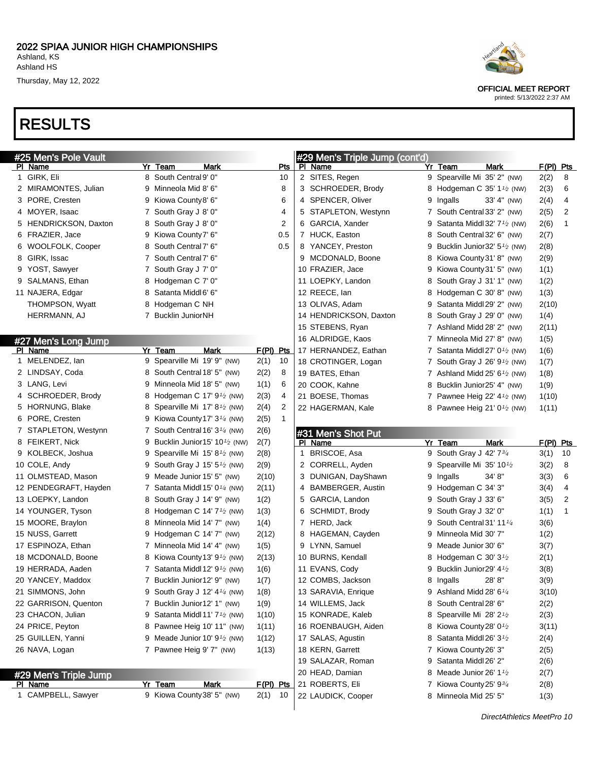# RESULTS

| #25 Men's Pole Vault  |   |                                                        |             |              |   | #29 Men's Triple Jump (cont'd) |   |                                                         |           |                         |
|-----------------------|---|--------------------------------------------------------|-------------|--------------|---|--------------------------------|---|---------------------------------------------------------|-----------|-------------------------|
| PI Name               |   | Yr Team<br>Mark                                        |             | Pts          |   | PI Name                        |   | Yr Team<br>Mark                                         | F(PI) Pts |                         |
| 1 GIRK, Eli           |   | 8 South Central 9' 0"                                  |             | 10           |   | 2 SITES, Regen                 |   | 9 Spearville Mi 35' 2" (NW)                             | 2(2)      | 8                       |
| 2 MIRAMONTES, Julian  | 9 | Minneola Mid 8' 6"                                     |             | 8            |   | 3 SCHROEDER, Brody             |   | 8 Hodgeman C 35' 1 <sup>1</sup> / <sub>2</sub> (NW)     | 2(3)      | 6                       |
| 3 PORE, Cresten       | 9 | Kiowa County8' 6"                                      |             | 6            |   | 4 SPENCER, Oliver              | 9 | Ingalls<br>33' 4" (NW)                                  | 2(4)      | 4                       |
| 4 MOYER, Isaac        |   | 7 South Gray J 8' 0"                                   |             | 4            |   | 5 STAPLETON, Westynn           |   | 7 South Central 33' 2" (NW)                             | 2(5)      | 2                       |
| 5 HENDRICKSON, Daxton | 8 | South Gray J 8' 0"                                     |             | 2            |   | 6 GARCIA, Xander               | 9 | Satanta Middl 32' $7\frac{1}{2}$ (NW)                   | 2(6)      | 1                       |
| 6 FRAZIER, Jace       | 9 | Kiowa County7' 6"                                      |             | 0.5          |   | 7 HUCK, Easton                 | 8 | South Central 32' 6" (NW)                               | 2(7)      |                         |
| 6 WOOLFOLK, Cooper    | 8 | South Central 7' 6"                                    |             | 0.5          |   | 8 YANCEY, Preston              | 9 | Bucklin Junior $32'$ 5 <sup>1</sup> / <sub>2</sub> (NW) | 2(8)      |                         |
| 8 GIRK, Issac         |   | 7 South Central 7' 6"                                  |             |              |   | 9 MCDONALD, Boone              | 8 | Kiowa County 31' 8" (NW)                                | 2(9)      |                         |
| 9 YOST, Sawyer        |   | 7 South Gray J 7' 0"                                   |             |              |   | 10 FRAZIER, Jace               | 9 | Kiowa County 31' 5" (NW)                                | 1(1)      |                         |
| 9 SALMANS, Ethan      | 8 | Hodgeman C 7' 0"                                       |             |              |   | 11 LOEPKY, Landon              | 8 | South Gray J 31' 1" (NW)                                | 1(2)      |                         |
| 11 NAJERA, Edgar      | 8 | Satanta Middl6' 6"                                     |             |              |   | 12 REECE, lan                  | 8 | Hodgeman C 30' 8" (NW)                                  | 1(3)      |                         |
| THOMPSON, Wyatt       | 8 | Hodgeman C NH                                          |             |              |   | 13 OLIVAS, Adam                | 9 | Satanta Middl 29' 2" (NW)                               | 2(10)     |                         |
| HERRMANN, AJ          |   | 7 Bucklin JuniorNH                                     |             |              |   | 14 HENDRICKSON, Daxton         | 8 | South Gray J 29' 0" (NW)                                | 1(4)      |                         |
|                       |   |                                                        |             |              |   | 15 STEBENS, Ryan               |   | 7 Ashland Midd 28' 2" (NW)                              | 2(11)     |                         |
| #27 Men's Long Jump   |   |                                                        |             |              |   | 16 ALDRIDGE, Kaos              | 7 | Minneola Mid 27' 8" (NW)                                | 1(5)      |                         |
| PI Name               |   | <b>Mark</b><br>Yr Team                                 | $F(PI)$ Pts |              |   | 17 HERNANDEZ, Eathan           |   | 7 Satanta Middl 27' $0\frac{1}{2}$ (NW)                 | 1(6)      |                         |
| 1 MELENDEZ, lan       | 9 | Spearville Mi 19' 9" (NW)                              | 2(1)        | 10           |   | 18 CROTINGER, Logan            |   | 7 South Gray J 26' $91$ / <sub>2</sub> (NW)             | 1(7)      |                         |
| 2 LINDSAY, Coda       | 8 | South Central 18' 5" (NW)                              | 2(2)        | 8            |   | 19 BATES, Ethan                |   | 7 Ashland Midd $25'$ 6 <sup>1</sup> / <sub>2</sub> (NW) | 1(8)      |                         |
| 3 LANG, Levi          | 9 | Minneola Mid 18' 5" (NW)                               | 1(1)        | 6            |   | 20 COOK, Kahne                 | 8 | Bucklin Junior25' 4" (NW)                               | 1(9)      |                         |
| 4 SCHROEDER, Brody    | 8 | Hodgeman C $17'$ 9 <sup>1</sup> / <sub>2</sub> (NW)    | 2(3)        | 4            |   | 21 BOESE, Thomas               |   | 7 Pawnee Heig 22' $4\frac{1}{2}$ (NW)                   | 1(10)     |                         |
| 5 HORNUNG, Blake      | 8 | Spearville Mi 17' 8 <sup>1</sup> / <sub>2</sub> (NW)   | 2(4)        | 2            |   | 22 HAGERMAN, Kale              | 8 | Pawnee Heig 21' $0\frac{1}{2}$ (NW)                     | 1(11)     |                         |
| 6 PORE, Cresten       | 9 | Kiowa County 17' 3 <sup>1/4</sup> (NW)                 | 2(5)        | $\mathbf{1}$ |   |                                |   |                                                         |           |                         |
| 7 STAPLETON, Westynn  |   | 7 South Central 16' $3\frac{1}{4}$ (NW)                | 2(6)        |              |   | #31 Men's Shot Put             |   |                                                         |           |                         |
| 8 FEIKERT, Nick       | 9 | Bucklin Junior15' $10\frac{1}{2}$ (NW)                 | 2(7)        |              |   | PI Name                        |   | <b>Mark</b><br>Yr Team                                  | F(PI) Pts |                         |
| 9 KOLBECK, Joshua     | 9 | Spearville Mi 15' 8 <sup>1</sup> / <sub>2</sub> (NW)   | 2(8)        |              | 1 | BRISCOE, Asa                   |   | 9 South Gray J 42' 73/4                                 | 3(1)      | 10                      |
| 10 COLE, Andy         | 9 | South Gray J 15' $5\frac{1}{2}$ (NW)                   | 2(9)        |              |   | 2 CORRELL, Ayden               | 9 | Spearville Mi 35' 10 <sup>1</sup> /2                    | 3(2)      | 8                       |
| 11 OLMSTEAD, Mason    | 9 | Meade Junior 15' 5" (NW)                               | 2(10)       |              |   | 3 DUNIGAN, DayShawn            | 9 | 34' 8"<br>Ingalls                                       | 3(3)      | 6                       |
| 12 PENDEGRAFT, Hayden | 7 | Satanta Middl 15' $0\frac{1}{4}$ (NW)                  | 2(11)       |              |   | 4 BAMBERGER, Austin            | 9 | Hodgeman C 34' 3"                                       | 3(4)      | $\overline{\mathbf{4}}$ |
| 13 LOEPKY, Landon     | 8 | South Gray J 14' 9" (NW)                               | 1(2)        |              |   | 5 GARCIA, Landon               | 9 | South Gray J 33' 6"                                     | 3(5)      | 2                       |
| 14 YOUNGER, Tyson     | 8 | Hodgeman C 14' $7\frac{1}{2}$ (NW)                     | 1(3)        |              |   | 6 SCHMIDT, Brody               | 9 | South Gray J 32' 0"                                     | 1(1)      | 1                       |
| 15 MOORE, Braylon     | 8 | Minneola Mid 14' 7" (NW)                               | 1(4)        |              |   | 7 HERD, Jack                   | 9 | South Central 31' 11 <sup>1/4</sup>                     | 3(6)      |                         |
| 15 NUSS, Garrett      | 9 | Hodgeman C 14' 7" (NW)                                 | 2(12)       |              |   | 8 HAGEMAN, Cayden              | 9 | Minneola Mid 30' 7"                                     | 1(2)      |                         |
| 17 ESPINOZA, Ethan    |   | 7 Minneola Mid 14' 4" (NW)                             | 1(5)        |              |   | 9 LYNN, Samuel                 | 9 | Meade Junior 30' 6"                                     | 3(7)      |                         |
| 18 MCDONALD, Boone    | 8 | Kiowa County 13' 9 <sup>1</sup> / <sub>2</sub> (NW)    | 2(13)       |              |   | 10 BURNS, Kendall              | 8 | Hodgeman C $30'3'$                                      | 2(1)      |                         |
| 19 HERRADA, Aaden     |   | 7 Satanta Middl 12' 9 <sup>1</sup> / <sub>2</sub> (NW) | 1(6)        |              |   | 11 EVANS, Cody                 | 9 | Bucklin Junior29' 41/2                                  | 3(8)      |                         |
| 20 YANCEY, Maddox     |   | 7 Bucklin Junior12' 9" (NW)                            | 1(7)        |              |   | 12 COMBS, Jackson              |   | 28'8"<br>8 Ingalls                                      | 3(9)      |                         |
| 21 SIMMONS, John      |   | 9 South Gray J 12' 4 <sup>1/4</sup> (NW)               | 1(8)        |              |   | 13 SARAVIA, Enrique            |   | 9 Ashland Midd 28' 6 $\frac{1}{4}$                      | 3(10)     |                         |
| 22 GARRISON, Quenton  |   | 7 Bucklin Junior12' 1" (NW)                            | 1(9)        |              |   | 14 WILLEMS, Jack               |   | 8 South Central 28' 6"                                  | 2(2)      |                         |
| 23 CHACON, Julian     | 9 | Satanta Middl 11' 7 <sup>1</sup> / <sub>2</sub> (NW)   | 1(10)       |              |   | 15 KONRADE, Kaleb              |   | 8 Spearville Mi 28' 21/2                                | 2(3)      |                         |
| 24 PRICE, Peyton      | 8 | Pawnee Heig 10' 11" (NW)                               | 1(11)       |              |   | 16 ROENBAUGH, Aiden            |   | 8 Kiowa County 28' 0 <sup>1</sup> /2                    | 3(11)     |                         |
| 25 GUILLEN, Yanni     | 9 | Meade Junior 10' $91$ (NW)                             | 1(12)       |              |   | 17 SALAS, Agustin              |   | 8 Satanta Middl 26' 3 $\frac{1}{2}$                     | 2(4)      |                         |
| 26 NAVA, Logan        |   | 7 Pawnee Heig 9' 7" (NW)                               | 1(13)       |              |   | 18 KERN, Garrett               |   | 7 Kiowa County 26' 3"                                   | 2(5)      |                         |
|                       |   |                                                        |             |              |   | 19 SALAZAR, Roman              |   | 9 Satanta Middl 26' 2"                                  | 2(6)      |                         |
| #29 Men's Triple Jump |   |                                                        |             |              |   | 20 HEAD, Damian                |   | 8 Meade Junior 26' 1 $\frac{1}{2}$                      | 2(7)      |                         |
| PI Name               |   | Yr Team<br>Mark                                        | F(PI) Pts   |              |   | 21 ROBERTS, Eli                |   | 7 Kiowa County 25' 93/4                                 | 2(8)      |                         |
|                       |   |                                                        |             |              |   |                                |   |                                                         |           |                         |
| 1 CAMPBELL, Sawyer    |   | 9 Kiowa County 38' 5" (NW)                             | $2(1)$ 10   |              |   | 22 LAUDICK, Cooper             |   | 8 Minneola Mid 25' 5"                                   | 1(3)      |                         |



OFFICIAL MEET REPORT